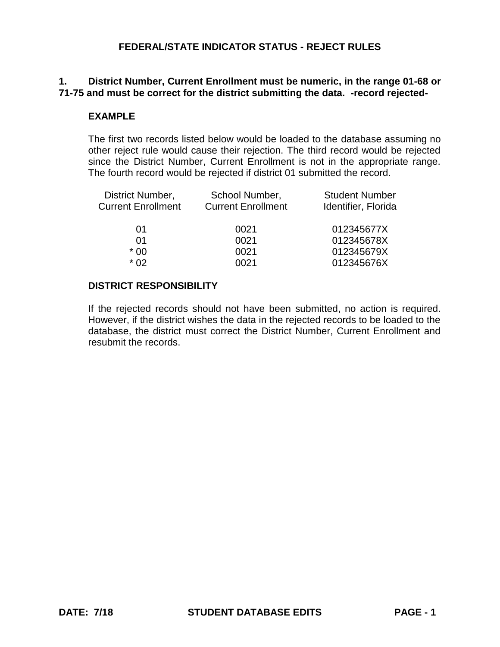# **1. District Number, Current Enrollment must be numeric, in the range 01-68 or 71-75 and must be correct for the district submitting the data. -record rejected-**

## **EXAMPLE**

The first two records listed below would be loaded to the database assuming no other reject rule would cause their rejection. The third record would be rejected since the District Number, Current Enrollment is not in the appropriate range. The fourth record would be rejected if district 01 submitted the record.

| District Number,<br><b>Current Enrollment</b> | School Number,<br><b>Current Enrollment</b> | <b>Student Number</b><br>Identifier, Florida |
|-----------------------------------------------|---------------------------------------------|----------------------------------------------|
| 01                                            | 0021                                        | 012345677X                                   |
| 01                                            | 0021                                        | 012345678X                                   |
| $*00$                                         | 0021                                        | 012345679X                                   |
| $*$ 02                                        | 0021                                        | 012345676X                                   |
|                                               |                                             |                                              |

#### **DISTRICT RESPONSIBILITY**

If the rejected records should not have been submitted, no action is required. However, if the district wishes the data in the rejected records to be loaded to the database, the district must correct the District Number, Current Enrollment and resubmit the records.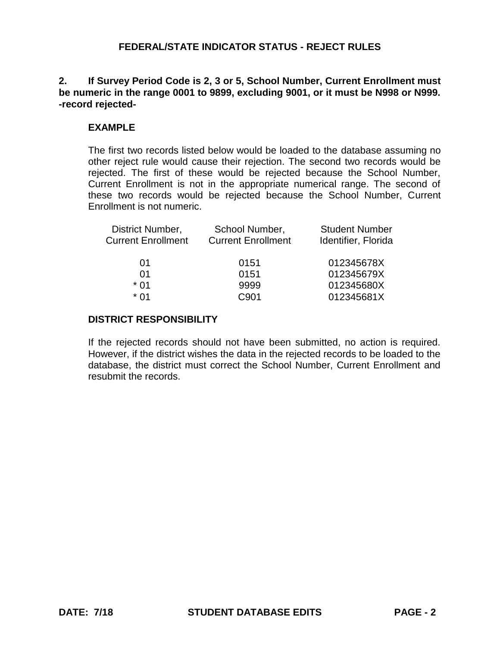## **2. If Survey Period Code is 2, 3 or 5, School Number, Current Enrollment must be numeric in the range 0001 to 9899, excluding 9001, or it must be N998 or N999. -record rejected-**

# **EXAMPLE**

The first two records listed below would be loaded to the database assuming no other reject rule would cause their rejection. The second two records would be rejected. The first of these would be rejected because the School Number, Current Enrollment is not in the appropriate numerical range. The second of these two records would be rejected because the School Number, Current Enrollment is not numeric.

| District Number,          | School Number,            | <b>Student Number</b> |
|---------------------------|---------------------------|-----------------------|
| <b>Current Enrollment</b> | <b>Current Enrollment</b> | Identifier, Florida   |
| 01                        | 0151                      | 012345678X            |
| 01                        | 0151                      | 012345679X            |
| $*$ 01                    | 9999                      | 012345680X            |
| * በ1                      | C901                      | 012345681X            |
|                           |                           |                       |

## **DISTRICT RESPONSIBILITY**

If the rejected records should not have been submitted, no action is required. However, if the district wishes the data in the rejected records to be loaded to the database, the district must correct the School Number, Current Enrollment and resubmit the records.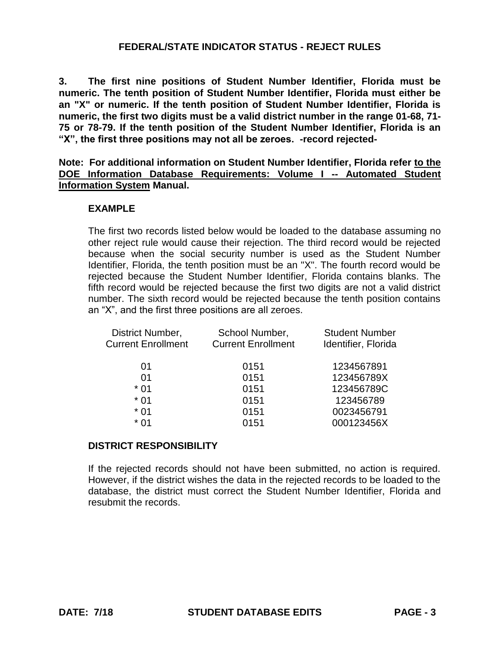**3. The first nine positions of Student Number Identifier, Florida must be numeric. The tenth position of Student Number Identifier, Florida must either be an "X" or numeric. If the tenth position of Student Number Identifier, Florida is numeric, the first two digits must be a valid district number in the range 01-68, 71- 75 or 78-79. If the tenth position of the Student Number Identifier, Florida is an "X", the first three positions may not all be zeroes. -record rejected-**

**Note: For additional information on Student Number Identifier, Florida refer to the DOE Information Database Requirements: Volume I -- Automated Student Information System Manual.**

### **EXAMPLE**

The first two records listed below would be loaded to the database assuming no other reject rule would cause their rejection. The third record would be rejected because when the social security number is used as the Student Number Identifier, Florida, the tenth position must be an "X". The fourth record would be rejected because the Student Number Identifier, Florida contains blanks. The fifth record would be rejected because the first two digits are not a valid district number. The sixth record would be rejected because the tenth position contains an "X", and the first three positions are all zeroes.

| District Number,          | School Number,            | <b>Student Number</b> |
|---------------------------|---------------------------|-----------------------|
| <b>Current Enrollment</b> | <b>Current Enrollment</b> | Identifier, Florida   |
| 01                        | 0151                      | 1234567891            |
| 01                        | 0151                      | 123456789X            |
| $*01$                     | 0151                      | 123456789C            |
| $*01$                     | 0151                      | 123456789             |
| $*01$                     | 0151                      | 0023456791            |
| $*01$                     | 0151                      | 000123456X            |
|                           |                           |                       |

#### **DISTRICT RESPONSIBILITY**

If the rejected records should not have been submitted, no action is required. However, if the district wishes the data in the rejected records to be loaded to the database, the district must correct the Student Number Identifier, Florida and resubmit the records.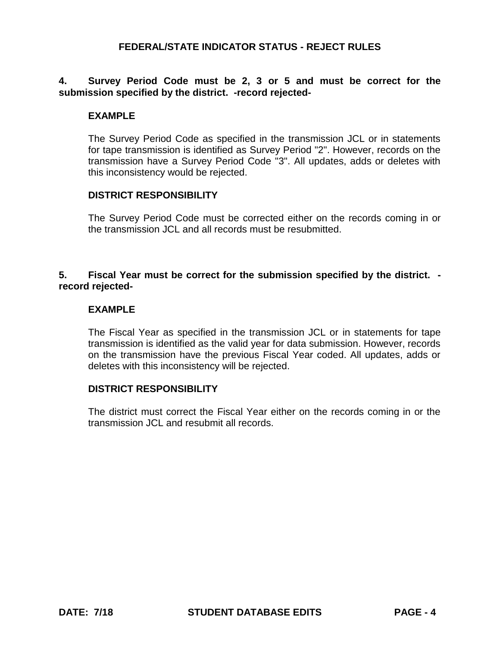## **4. Survey Period Code must be 2, 3 or 5 and must be correct for the submission specified by the district. -record rejected-**

#### **EXAMPLE**

The Survey Period Code as specified in the transmission JCL or in statements for tape transmission is identified as Survey Period "2". However, records on the transmission have a Survey Period Code "3". All updates, adds or deletes with this inconsistency would be rejected.

#### **DISTRICT RESPONSIBILITY**

The Survey Period Code must be corrected either on the records coming in or the transmission JCL and all records must be resubmitted.

## **5. Fiscal Year must be correct for the submission specified by the district. record rejected-**

### **EXAMPLE**

The Fiscal Year as specified in the transmission JCL or in statements for tape transmission is identified as the valid year for data submission. However, records on the transmission have the previous Fiscal Year coded. All updates, adds or deletes with this inconsistency will be rejected.

#### **DISTRICT RESPONSIBILITY**

The district must correct the Fiscal Year either on the records coming in or the transmission JCL and resubmit all records.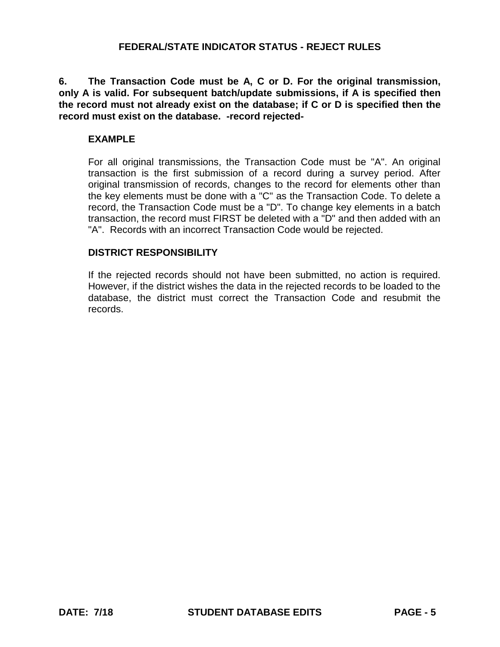**6. The Transaction Code must be A, C or D. For the original transmission, only A is valid. For subsequent batch/update submissions, if A is specified then the record must not already exist on the database; if C or D is specified then the record must exist on the database. -record rejected-**

### **EXAMPLE**

For all original transmissions, the Transaction Code must be "A". An original transaction is the first submission of a record during a survey period. After original transmission of records, changes to the record for elements other than the key elements must be done with a "C" as the Transaction Code. To delete a record, the Transaction Code must be a "D". To change key elements in a batch transaction, the record must FIRST be deleted with a "D" and then added with an "A". Records with an incorrect Transaction Code would be rejected.

### **DISTRICT RESPONSIBILITY**

If the rejected records should not have been submitted, no action is required. However, if the district wishes the data in the rejected records to be loaded to the database, the district must correct the Transaction Code and resubmit the records.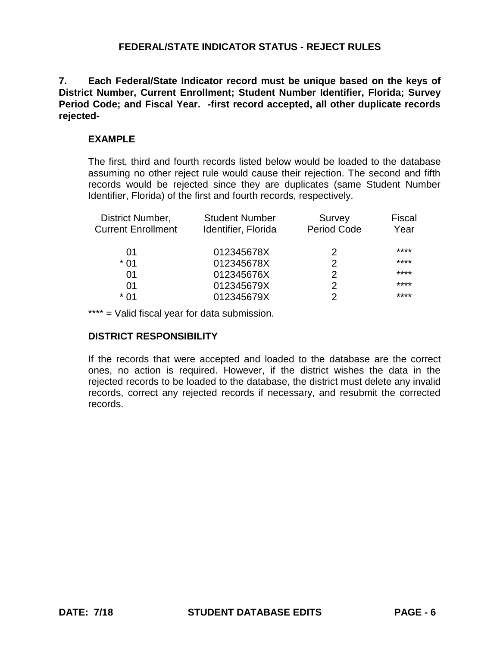**7. Each Federal/State Indicator record must be unique based on the keys of District Number, Current Enrollment; Student Number Identifier, Florida; Survey Period Code; and Fiscal Year. -first record accepted, all other duplicate records rejected-**

### **EXAMPLE**

The first, third and fourth records listed below would be loaded to the database assuming no other reject rule would cause their rejection. The second and fifth records would be rejected since they are duplicates (same Student Number Identifier, Florida) of the first and fourth records, respectively.

| District Number,          | <b>Student Number</b> | Survey      | <b>Fiscal</b> |
|---------------------------|-----------------------|-------------|---------------|
| <b>Current Enrollment</b> | Identifier, Florida   | Period Code | Year          |
| 01                        | 012345678X            | 2           | ****          |
| $*01$                     | 012345678X            | 2           | ****          |
| 01                        | 012345676X            | 2           | ****          |
| 01                        | 012345679X            | 2           | ****          |
| * በ1                      | 012345679X            | 2           | ****          |

\*\*\*\* = Valid fiscal year for data submission.

## **DISTRICT RESPONSIBILITY**

If the records that were accepted and loaded to the database are the correct ones, no action is required. However, if the district wishes the data in the rejected records to be loaded to the database, the district must delete any invalid records, correct any rejected records if necessary, and resubmit the corrected records.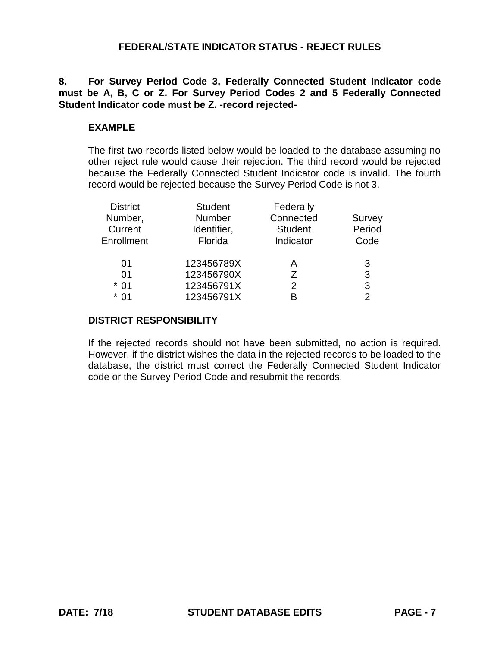**8. For Survey Period Code 3, Federally Connected Student Indicator code must be A, B, C or Z. For Survey Period Codes 2 and 5 Federally Connected Student Indicator code must be Z. -record rejected-**

## **EXAMPLE**

The first two records listed below would be loaded to the database assuming no other reject rule would cause their rejection. The third record would be rejected because the Federally Connected Student Indicator code is invalid. The fourth record would be rejected because the Survey Period Code is not 3.

| <b>District</b> | <b>Student</b> | Federally      |        |
|-----------------|----------------|----------------|--------|
| Number,         | <b>Number</b>  | Connected      | Survey |
| Current         | Identifier,    | <b>Student</b> | Period |
| Enrollment      | Florida        | Indicator      | Code   |
| 01              |                |                |        |
|                 | 123456789X     | А              | 3      |
| 01              | 123456790X     | 7              | 3      |
| $*01$           | 123456791X     | 2              | 3      |
| $*01$           | 123456791X     | R              | っ      |

#### **DISTRICT RESPONSIBILITY**

If the rejected records should not have been submitted, no action is required. However, if the district wishes the data in the rejected records to be loaded to the database, the district must correct the Federally Connected Student Indicator code or the Survey Period Code and resubmit the records.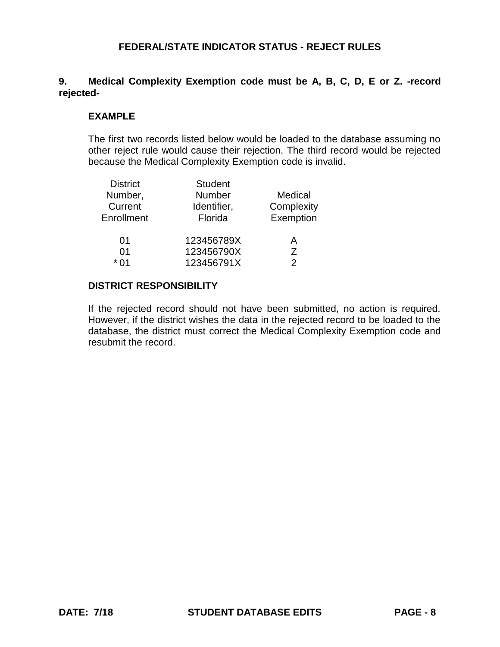# **9. Medical Complexity Exemption code must be A, B, C, D, E or Z. -record rejected-**

### **EXAMPLE**

The first two records listed below would be loaded to the database assuming no other reject rule would cause their rejection. The third record would be rejected because the Medical Complexity Exemption code is invalid.

| <b>District</b> | <b>Student</b> |               |
|-----------------|----------------|---------------|
| Number,         | <b>Number</b>  | Medical       |
| Current         | Identifier,    | Complexity    |
| Enrollment      | Florida        | Exemption     |
|                 |                |               |
| 01              | 123456789X     | Α             |
| 01              | 123456790X     | Ζ             |
| $*01$           | 123456791X     | $\mathcal{P}$ |
|                 |                |               |

#### **DISTRICT RESPONSIBILITY**

If the rejected record should not have been submitted, no action is required. However, if the district wishes the data in the rejected record to be loaded to the database, the district must correct the Medical Complexity Exemption code and resubmit the record.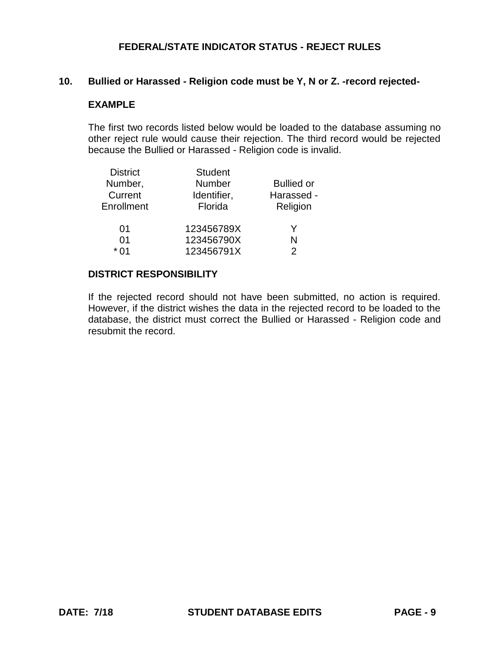### **10. Bullied or Harassed - Religion code must be Y, N or Z. -record rejected-**

#### **EXAMPLE**

The first two records listed below would be loaded to the database assuming no other reject rule would cause their rejection. The third record would be rejected because the Bullied or Harassed - Religion code is invalid.

|      | <b>District</b> | <b>Student</b> |                   |
|------|-----------------|----------------|-------------------|
|      | Number,         | <b>Number</b>  | <b>Bullied or</b> |
|      | Current         | Identifier,    | Harassed -        |
|      | Enrollment      | Florida        | Religion          |
|      | 01              | 123456789X     | Y                 |
|      | 01              | 123456790X     | N                 |
| * በ1 |                 | 123456791X     | 2                 |

#### **DISTRICT RESPONSIBILITY**

If the rejected record should not have been submitted, no action is required. However, if the district wishes the data in the rejected record to be loaded to the database, the district must correct the Bullied or Harassed - Religion code and resubmit the record.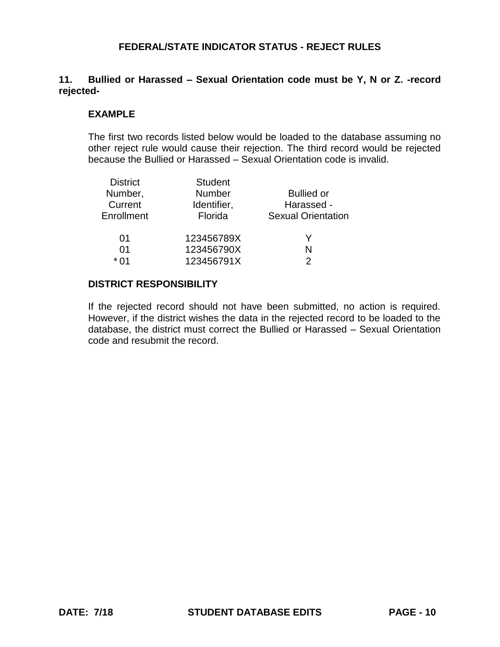## **11. Bullied or Harassed – Sexual Orientation code must be Y, N or Z. -record rejected-**

### **EXAMPLE**

The first two records listed below would be loaded to the database assuming no other reject rule would cause their rejection. The third record would be rejected because the Bullied or Harassed – Sexual Orientation code is invalid.

| <b>District</b> | <b>Student</b> |                           |
|-----------------|----------------|---------------------------|
| Number,         | <b>Number</b>  | <b>Bullied or</b>         |
| Current         | Identifier,    | Harassed -                |
| Enrollment      | Florida        | <b>Sexual Orientation</b> |
| 01              | 123456789X     |                           |
| 01              | 123456790X     | N                         |
| * 01            | 123456791X     | 2                         |
|                 |                |                           |

## **DISTRICT RESPONSIBILITY**

If the rejected record should not have been submitted, no action is required. However, if the district wishes the data in the rejected record to be loaded to the database, the district must correct the Bullied or Harassed – Sexual Orientation code and resubmit the record.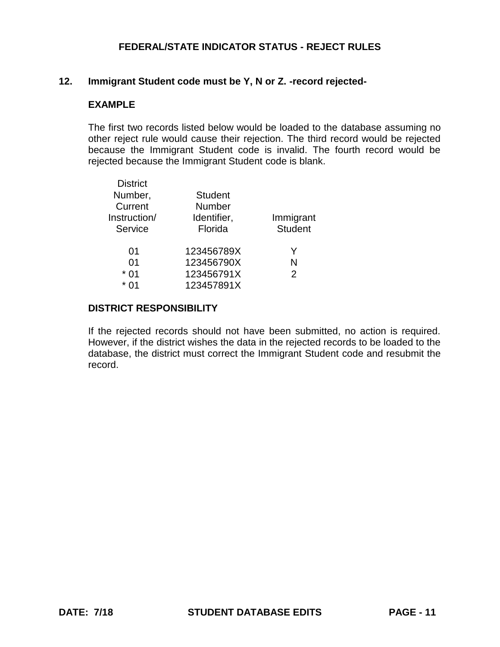### **12. Immigrant Student code must be Y, N or Z. -record rejected-**

### **EXAMPLE**

The first two records listed below would be loaded to the database assuming no other reject rule would cause their rejection. The third record would be rejected because the Immigrant Student code is invalid. The fourth record would be rejected because the Immigrant Student code is blank.

| <b>District</b><br>Number,<br>Current<br>Instruction/<br>Service | <b>Student</b><br>Number<br>Identifier,<br>Florida | Immigrant<br><b>Student</b> |
|------------------------------------------------------------------|----------------------------------------------------|-----------------------------|
| 01                                                               | 123456789X                                         | Y                           |
| 01                                                               | 123456790X                                         | N                           |
| $*01$                                                            | 123456791X                                         | 2                           |
| * ∩1                                                             | 123457891X                                         |                             |

#### **DISTRICT RESPONSIBILITY**

If the rejected records should not have been submitted, no action is required. However, if the district wishes the data in the rejected records to be loaded to the database, the district must correct the Immigrant Student code and resubmit the record.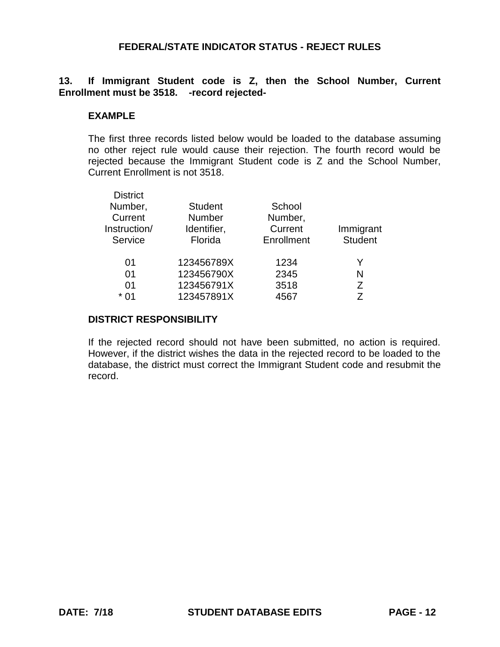## **13. If Immigrant Student code is Z, then the School Number, Current Enrollment must be 3518. -record rejected-**

#### **EXAMPLE**

The first three records listed below would be loaded to the database assuming no other reject rule would cause their rejection. The fourth record would be rejected because the Immigrant Student code is Z and the School Number, Current Enrollment is not 3518.

| <b>District</b> |                |            |                |
|-----------------|----------------|------------|----------------|
| Number,         | <b>Student</b> | School     |                |
| Current         | Number         | Number,    |                |
| Instruction/    | Identifier,    | Current    | Immigrant      |
| Service         | Florida        | Enrollment | <b>Student</b> |
| 01              | 123456789X     | 1234       | Y              |
| 01              | 123456790X     | 2345       | N              |
| 01              | 123456791X     | 3518       | Ζ              |
| $*01$           | 123457891X     | 4567       | 7              |
|                 |                |            |                |

### **DISTRICT RESPONSIBILITY**

If the rejected record should not have been submitted, no action is required. However, if the district wishes the data in the rejected record to be loaded to the database, the district must correct the Immigrant Student code and resubmit the record.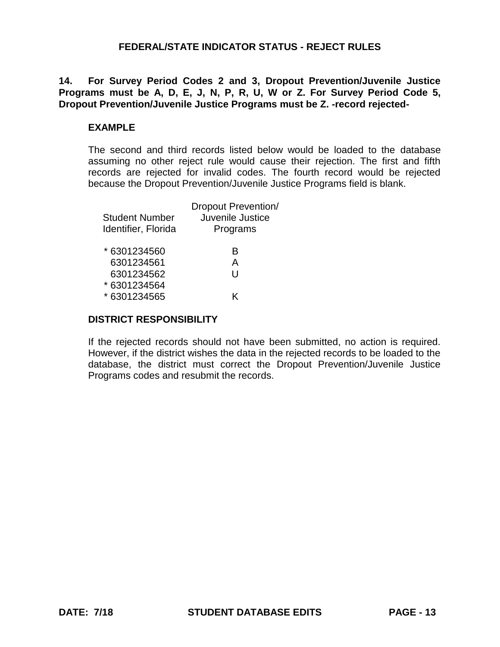# **14. For Survey Period Codes 2 and 3, Dropout Prevention/Juvenile Justice Programs must be A, D, E, J, N, P, R, U, W or Z. For Survey Period Code 5, Dropout Prevention/Juvenile Justice Programs must be Z. -record rejected-**

## **EXAMPLE**

The second and third records listed below would be loaded to the database assuming no other reject rule would cause their rejection. The first and fifth records are rejected for invalid codes. The fourth record would be rejected because the Dropout Prevention/Juvenile Justice Programs field is blank.

| <b>Student Number</b><br>Identifier, Florida | <b>Dropout Prevention/</b><br>Juvenile Justice<br>Programs |
|----------------------------------------------|------------------------------------------------------------|
| * 6301234560                                 | R                                                          |
| 6301234561                                   | A                                                          |
| 6301234562                                   | U                                                          |
| * 6301234564                                 |                                                            |
| * 6301234565                                 | K                                                          |
|                                              |                                                            |

### **DISTRICT RESPONSIBILITY**

If the rejected records should not have been submitted, no action is required. However, if the district wishes the data in the rejected records to be loaded to the database, the district must correct the Dropout Prevention/Juvenile Justice Programs codes and resubmit the records.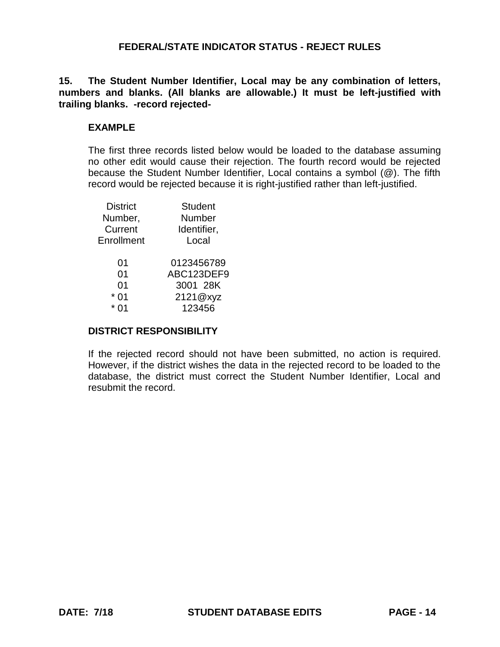**15. The Student Number Identifier, Local may be any combination of letters, numbers and blanks. (All blanks are allowable.) It must be left-justified with trailing blanks. -record rejected-**

## **EXAMPLE**

The first three records listed below would be loaded to the database assuming no other edit would cause their rejection. The fourth record would be rejected because the Student Number Identifier, Local contains a symbol (@). The fifth record would be rejected because it is right-justified rather than left-justified.

| <b>District</b> | <b>Student</b> |
|-----------------|----------------|
| Number,         | Number         |
| Current         | Identifier,    |
| Enrollment      | Local          |
| 01              | 0123456789     |
| 01              | ABC123DEF9     |
| 01              | 3001 28K       |
| 01              | 2121@xyz       |
| 01              | 123456         |
|                 |                |

#### **DISTRICT RESPONSIBILITY**

If the rejected record should not have been submitted, no action is required. However, if the district wishes the data in the rejected record to be loaded to the database, the district must correct the Student Number Identifier, Local and resubmit the record.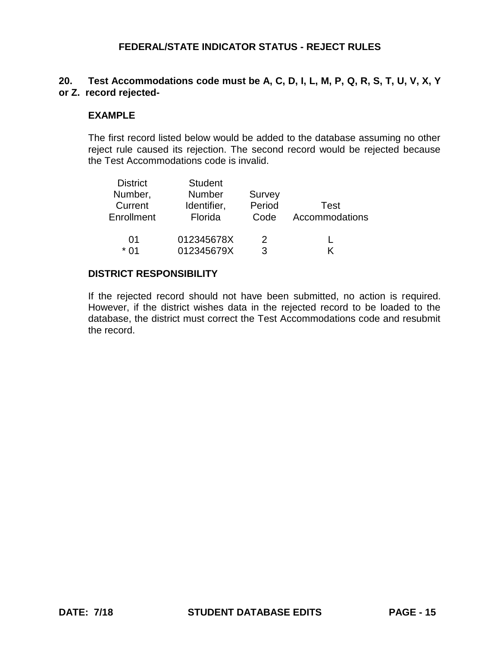## **20. Test Accommodations code must be A, C, D, I, L, M, P, Q, R, S, T, U, V, X, Y or Z. record rejected-**

#### **EXAMPLE**

The first record listed below would be added to the database assuming no other reject rule caused its rejection. The second record would be rejected because the Test Accommodations code is invalid.

| <b>District</b><br>Number, | <b>Student</b><br>Number | Survey |                |
|----------------------------|--------------------------|--------|----------------|
| Current                    | Identifier,              | Period | Test           |
| Enrollment                 | Florida                  | Code   | Accommodations |
| 01                         | 012345678X               | 2      |                |
| * በ1                       | 012345679X               | 3      |                |

### **DISTRICT RESPONSIBILITY**

If the rejected record should not have been submitted, no action is required. However, if the district wishes data in the rejected record to be loaded to the database, the district must correct the Test Accommodations code and resubmit the record.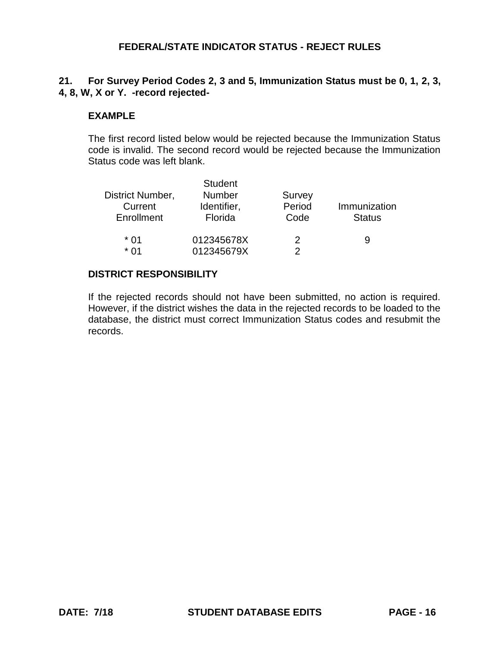# **21. For Survey Period Codes 2, 3 and 5, Immunization Status must be 0, 1, 2, 3, 4, 8, W, X or Y. -record rejected-**

## **EXAMPLE**

The first record listed below would be rejected because the Immunization Status code is invalid. The second record would be rejected because the Immunization Status code was left blank.

| District Number,<br>Current<br>Enrollment | <b>Student</b><br><b>Number</b><br>Identifier,<br>Florida | Survey<br>Period<br>Code | Immunization<br><b>Status</b> |
|-------------------------------------------|-----------------------------------------------------------|--------------------------|-------------------------------|
| * በ1                                      | 012345678X                                                | 2                        | 9                             |
| * በ1                                      | 012345679X                                                | 2                        |                               |

### **DISTRICT RESPONSIBILITY**

If the rejected records should not have been submitted, no action is required. However, if the district wishes the data in the rejected records to be loaded to the database, the district must correct Immunization Status codes and resubmit the records.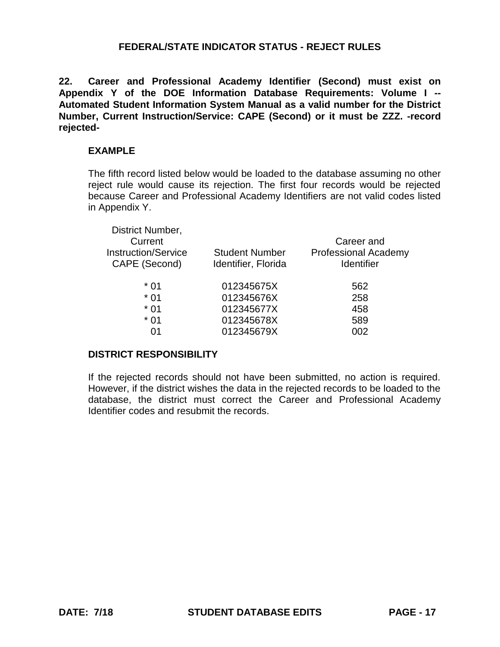**22. Career and Professional Academy Identifier (Second) must exist on Appendix Y of the DOE Information Database Requirements: Volume I -- Automated Student Information System Manual as a valid number for the District Number, Current Instruction/Service: CAPE (Second) or it must be ZZZ. -record rejected-**

### **EXAMPLE**

The fifth record listed below would be loaded to the database assuming no other reject rule would cause its rejection. The first four records would be rejected because Career and Professional Academy Identifiers are not valid codes listed in Appendix Y.

| District Number,           |                       |                             |
|----------------------------|-----------------------|-----------------------------|
| Current                    |                       | Career and                  |
| <b>Instruction/Service</b> | <b>Student Number</b> | <b>Professional Academy</b> |
| CAPE (Second)              | Identifier, Florida   | <b>Identifier</b>           |
|                            |                       |                             |
| $*01$                      | 012345675X            | 562                         |
| $*01$                      | 012345676X            | 258                         |
| $*01$                      | 012345677X            | 458                         |
| $*01$                      | 012345678X            | 589                         |
|                            | 012345679X            | 002                         |
|                            |                       |                             |

## **DISTRICT RESPONSIBILITY**

If the rejected records should not have been submitted, no action is required. However, if the district wishes the data in the rejected records to be loaded to the database, the district must correct the Career and Professional Academy Identifier codes and resubmit the records.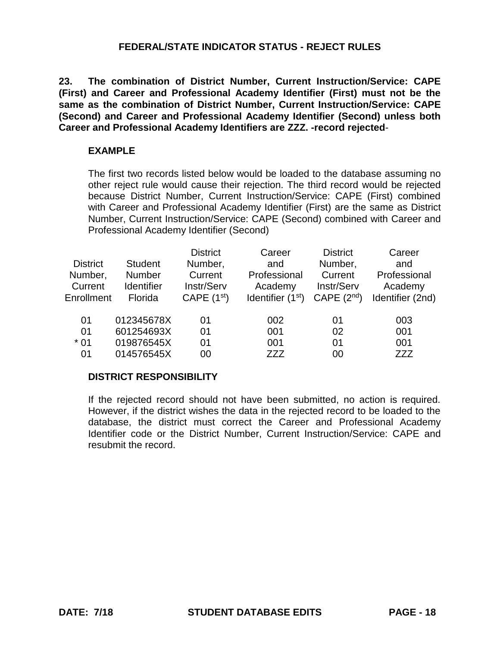**23. The combination of District Number, Current Instruction/Service: CAPE (First) and Career and Professional Academy Identifier (First) must not be the same as the combination of District Number, Current Instruction/Service: CAPE (Second) and Career and Professional Academy Identifier (Second) unless both Career and Professional Academy Identifiers are ZZZ. -record rejected**-

### **EXAMPLE**

The first two records listed below would be loaded to the database assuming no other reject rule would cause their rejection. The third record would be rejected because District Number, Current Instruction/Service: CAPE (First) combined with Career and Professional Academy Identifier (First) are the same as District Number, Current Instruction/Service: CAPE (Second) combined with Career and Professional Academy Identifier (Second)

| <b>District</b><br>Number,<br>Current<br>Enrollment | <b>Student</b><br><b>Number</b><br><b>Identifier</b><br>Florida | <b>District</b><br>Number,<br>Current<br>Instr/Serv<br>CAPE $(1st)$ | Career<br>and<br>Professional<br>Academy<br>Identifier $(1st)$ | <b>District</b><br>Number,<br>Current<br>Instr/Serv<br>CAPE $(2^{nd})$ | Career<br>and<br>Professional<br>Academy<br>Identifier (2nd) |
|-----------------------------------------------------|-----------------------------------------------------------------|---------------------------------------------------------------------|----------------------------------------------------------------|------------------------------------------------------------------------|--------------------------------------------------------------|
| 01                                                  | 012345678X                                                      | 01                                                                  | 002                                                            | 01                                                                     | 003                                                          |
| 01                                                  | 601254693X                                                      | 01                                                                  | 001                                                            | 02                                                                     | 001                                                          |
| $*01$                                               | 019876545X                                                      | 01                                                                  | 001                                                            | 01                                                                     | 001                                                          |
| 01                                                  | 014576545X                                                      | 00                                                                  | ZZZ                                                            | 00                                                                     | ZZZ                                                          |

## **DISTRICT RESPONSIBILITY**

If the rejected record should not have been submitted, no action is required. However, if the district wishes the data in the rejected record to be loaded to the database, the district must correct the Career and Professional Academy Identifier code or the District Number, Current Instruction/Service: CAPE and resubmit the record.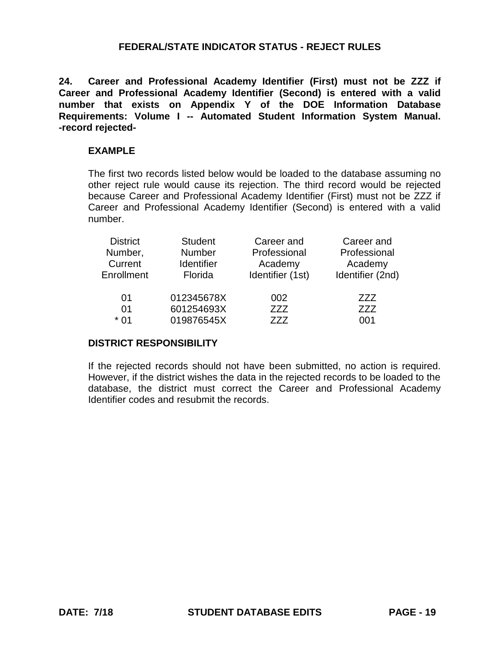**24. Career and Professional Academy Identifier (First) must not be ZZZ if Career and Professional Academy Identifier (Second) is entered with a valid number that exists on Appendix Y of the DOE Information Database Requirements: Volume I -- Automated Student Information System Manual. -record rejected-**

### **EXAMPLE**

The first two records listed below would be loaded to the database assuming no other reject rule would cause its rejection. The third record would be rejected because Career and Professional Academy Identifier (First) must not be ZZZ if Career and Professional Academy Identifier (Second) is entered with a valid number.

| <b>District</b> | <b>Student</b>    | Career and       | Career and       |
|-----------------|-------------------|------------------|------------------|
| Number,         | Number            | Professional     | Professional     |
| Current         | <b>Identifier</b> | Academy          | Academy          |
| Enrollment      | Florida           | Identifier (1st) | Identifier (2nd) |
| 01              | 012345678X        | 002              | 777              |
| 01              | 601254693X        | ZZZ              | 777              |
| * 01            | 019876545X        | 777              | 001              |

#### **DISTRICT RESPONSIBILITY**

If the rejected records should not have been submitted, no action is required. However, if the district wishes the data in the rejected records to be loaded to the database, the district must correct the Career and Professional Academy Identifier codes and resubmit the records.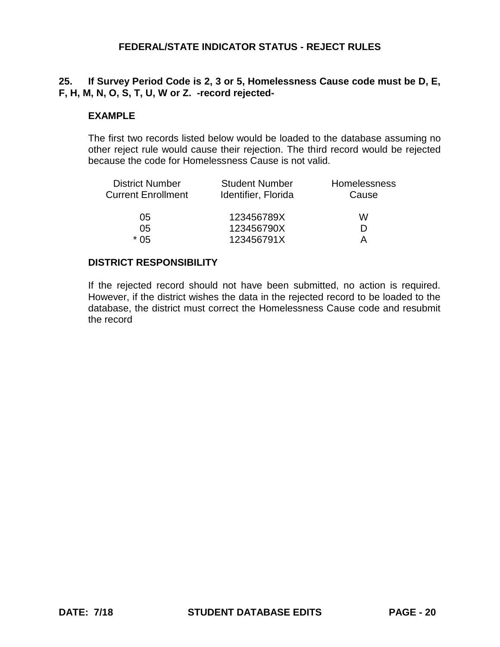## **25. If Survey Period Code is 2, 3 or 5, Homelessness Cause code must be D, E, F, H, M, N, O, S, T, U, W or Z. -record rejected-**

### **EXAMPLE**

The first two records listed below would be loaded to the database assuming no other reject rule would cause their rejection. The third record would be rejected because the code for Homelessness Cause is not valid.

| <b>District Number</b>    | <b>Student Number</b> | Homelessness |
|---------------------------|-----------------------|--------------|
| <b>Current Enrollment</b> | Identifier, Florida   | Cause        |
| 05                        | 123456789X            | w            |
| 05                        | 123456790X            | D            |
| * 05                      | 123456791X            |              |

## **DISTRICT RESPONSIBILITY**

If the rejected record should not have been submitted, no action is required. However, if the district wishes the data in the rejected record to be loaded to the database, the district must correct the Homelessness Cause code and resubmit the record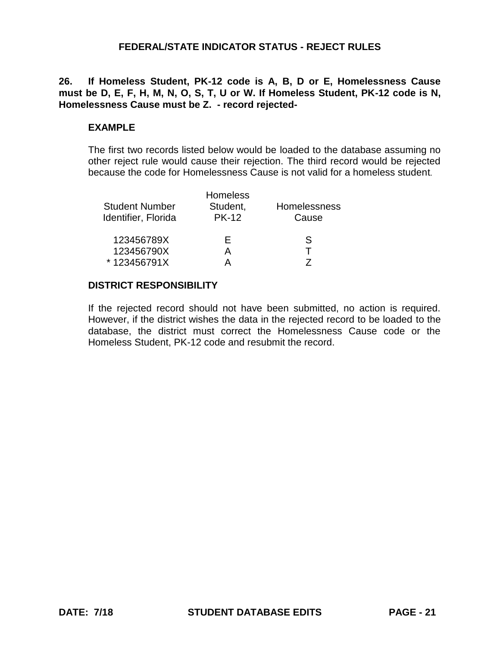**26. If Homeless Student, PK-12 code is A, B, D or E, Homelessness Cause must be D, E, F, H, M, N, O, S, T, U or W. If Homeless Student, PK-12 code is N, Homelessness Cause must be Z. - record rejected-**

## **EXAMPLE**

The first two records listed below would be loaded to the database assuming no other reject rule would cause their rejection. The third record would be rejected because the code for Homelessness Cause is not valid for a homeless student.

| <b>Homeless</b><br>Student,<br><b>PK-12</b> | <b>Homelessness</b><br>Cause |
|---------------------------------------------|------------------------------|
| Н.                                          | S                            |
| A                                           |                              |
|                                             |                              |
|                                             |                              |

### **DISTRICT RESPONSIBILITY**

If the rejected record should not have been submitted, no action is required. However, if the district wishes the data in the rejected record to be loaded to the database, the district must correct the Homelessness Cause code or the Homeless Student, PK-12 code and resubmit the record.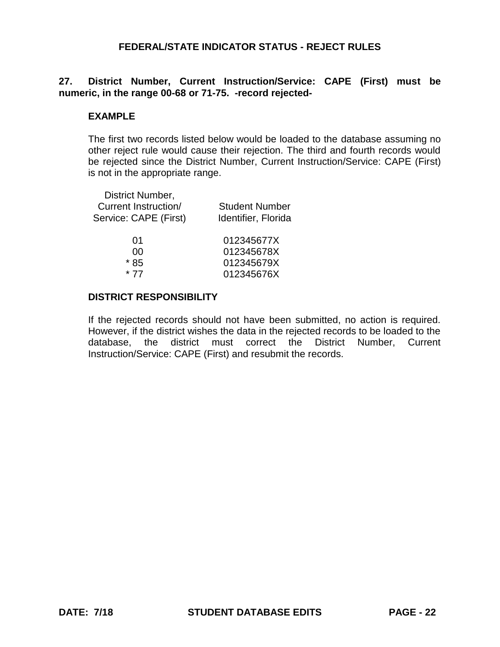## **27. District Number, Current Instruction/Service: CAPE (First) must be numeric, in the range 00-68 or 71-75. -record rejected-**

## **EXAMPLE**

The first two records listed below would be loaded to the database assuming no other reject rule would cause their rejection. The third and fourth records would be rejected since the District Number, Current Instruction/Service: CAPE (First) is not in the appropriate range.

| District Number,<br>Current Instruction/<br>Service: CAPE (First) | <b>Student Number</b><br>Identifier, Florida |
|-------------------------------------------------------------------|----------------------------------------------|
| 01                                                                | 012345677X                                   |
| ΩO                                                                | 012345678X                                   |
| 85<br>*                                                           | 012345679X                                   |
| * 77                                                              | 012345676X                                   |
|                                                                   |                                              |

# **DISTRICT RESPONSIBILITY**

If the rejected records should not have been submitted, no action is required. However, if the district wishes the data in the rejected records to be loaded to the database, the district must correct the District Number, Current Instruction/Service: CAPE (First) and resubmit the records.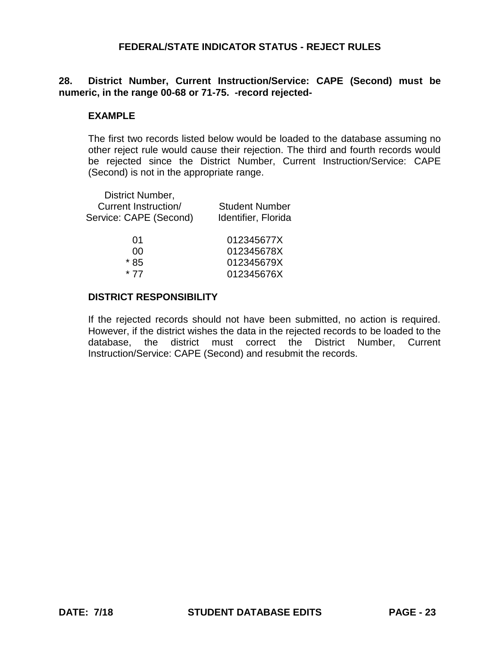# **28. District Number, Current Instruction/Service: CAPE (Second) must be numeric, in the range 00-68 or 71-75. -record rejected-**

### **EXAMPLE**

The first two records listed below would be loaded to the database assuming no other reject rule would cause their rejection. The third and fourth records would be rejected since the District Number, Current Instruction/Service: CAPE (Second) is not in the appropriate range.

| District Number,<br><b>Current Instruction/</b><br>Service: CAPE (Second) | <b>Student Number</b><br>Identifier, Florida |
|---------------------------------------------------------------------------|----------------------------------------------|
| 01                                                                        | 012345677X                                   |
| n۵                                                                        | 012345678X                                   |
| * 85                                                                      | 012345679X                                   |
| * 77                                                                      | 012345676X                                   |

# **DISTRICT RESPONSIBILITY**

If the rejected records should not have been submitted, no action is required. However, if the district wishes the data in the rejected records to be loaded to the database, the district must correct the District Number, Current Instruction/Service: CAPE (Second) and resubmit the records.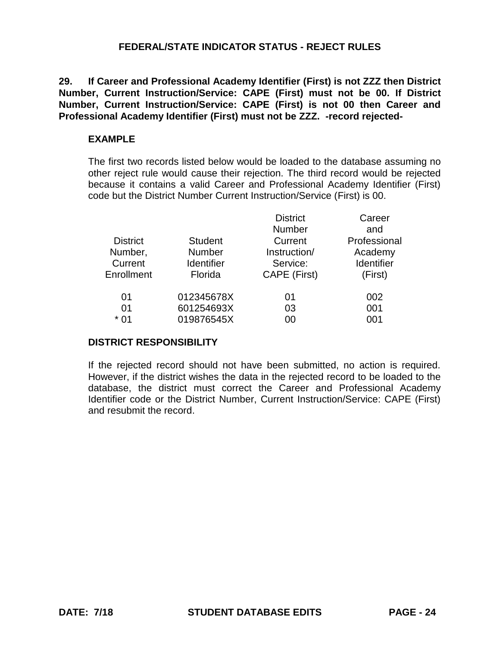**29. If Career and Professional Academy Identifier (First) is not ZZZ then District Number, Current Instruction/Service: CAPE (First) must not be 00. If District Number, Current Instruction/Service: CAPE (First) is not 00 then Career and Professional Academy Identifier (First) must not be ZZZ. -record rejected-**

### **EXAMPLE**

The first two records listed below would be loaded to the database assuming no other reject rule would cause their rejection. The third record would be rejected because it contains a valid Career and Professional Academy Identifier (First) code but the District Number Current Instruction/Service (First) is 00.

|                 |                | <b>District</b> | Career            |
|-----------------|----------------|-----------------|-------------------|
|                 |                | <b>Number</b>   | and               |
| <b>District</b> | <b>Student</b> | Current         | Professional      |
| Number,         | <b>Number</b>  | Instruction/    | Academy           |
| Current         | Identifier     | Service:        | <b>Identifier</b> |
| Enrollment      | Florida        | CAPE (First)    | (First)           |
| 01              | 012345678X     | 01              | 002               |
| 01              | 601254693X     | 03              | 001               |
| * 01            | 019876545X     | 00              | 001               |
|                 |                |                 |                   |

## **DISTRICT RESPONSIBILITY**

If the rejected record should not have been submitted, no action is required. However, if the district wishes the data in the rejected record to be loaded to the database, the district must correct the Career and Professional Academy Identifier code or the District Number, Current Instruction/Service: CAPE (First) and resubmit the record.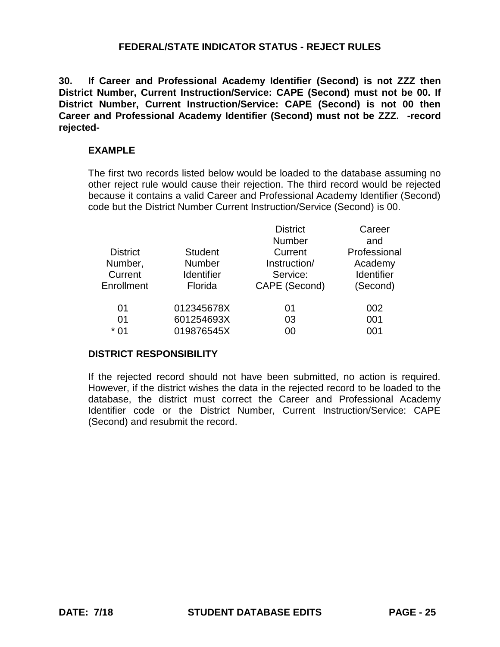**30. If Career and Professional Academy Identifier (Second) is not ZZZ then District Number, Current Instruction/Service: CAPE (Second) must not be 00. If District Number, Current Instruction/Service: CAPE (Second) is not 00 then Career and Professional Academy Identifier (Second) must not be ZZZ. -record rejected-**

### **EXAMPLE**

The first two records listed below would be loaded to the database assuming no other reject rule would cause their rejection. The third record would be rejected because it contains a valid Career and Professional Academy Identifier (Second) code but the District Number Current Instruction/Service (Second) is 00.

|                 |                   | <b>District</b> | Career            |
|-----------------|-------------------|-----------------|-------------------|
|                 |                   | <b>Number</b>   | and               |
| <b>District</b> | <b>Student</b>    | Current         | Professional      |
| Number,         | Number            | Instruction/    | Academy           |
| Current         | <b>Identifier</b> | Service:        | <b>Identifier</b> |
| Enrollment      | Florida           | CAPE (Second)   | (Second)          |
| 01              | 012345678X        | 01              | 002               |
| 01              | 601254693X        | 03              | 001               |
| $*01$           | 019876545X        | 00              | 001               |

#### **DISTRICT RESPONSIBILITY**

If the rejected record should not have been submitted, no action is required. However, if the district wishes the data in the rejected record to be loaded to the database, the district must correct the Career and Professional Academy Identifier code or the District Number, Current Instruction/Service: CAPE (Second) and resubmit the record.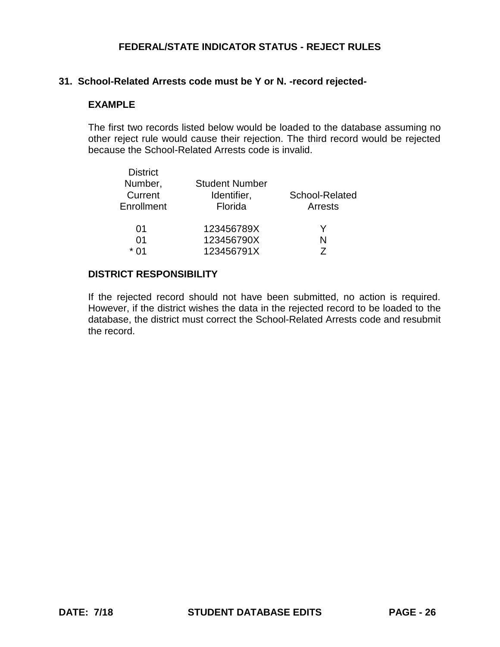# **31. School-Related Arrests code must be Y or N. -record rejected-**

### **EXAMPLE**

The first two records listed below would be loaded to the database assuming no other reject rule would cause their rejection. The third record would be rejected because the School-Related Arrests code is invalid.

| <b>District</b> |                       |                |
|-----------------|-----------------------|----------------|
| Number,         | <b>Student Number</b> |                |
| Current         | Identifier,           | School-Related |
| Enrollment      | Florida               | Arrests        |
| 01              | 123456789X            |                |
| 01              | 123456790X            | N              |
| * በ1            | 123456791X            |                |

### **DISTRICT RESPONSIBILITY**

If the rejected record should not have been submitted, no action is required. However, if the district wishes the data in the rejected record to be loaded to the database, the district must correct the School-Related Arrests code and resubmit the record.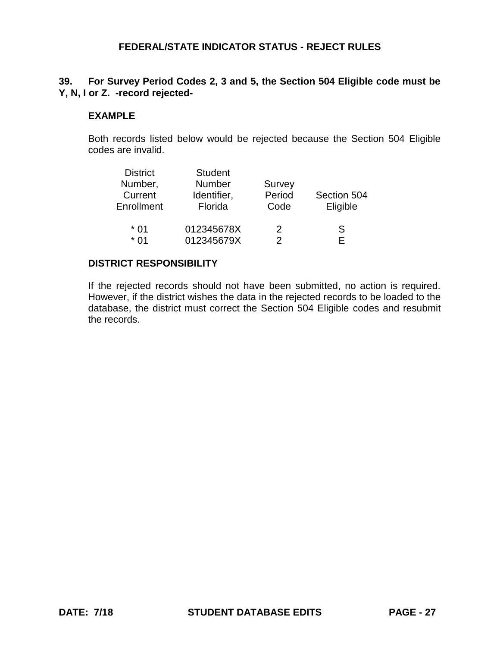# **39. For Survey Period Codes 2, 3 and 5, the Section 504 Eligible code must be Y, N, I or Z. -record rejected-**

## **EXAMPLE**

Both records listed below would be rejected because the Section 504 Eligible codes are invalid.

| <b>District</b> | <b>Student</b> |        |             |
|-----------------|----------------|--------|-------------|
| Number,         | <b>Number</b>  | Survey |             |
| Current         | Identifier,    | Period | Section 504 |
| Enrollment      | Florida        | Code   | Eligible    |
| $*01$           | 012345678X     | 2      | S           |
| * በ1            | 012345679X     | 2      | F           |

### **DISTRICT RESPONSIBILITY**

If the rejected records should not have been submitted, no action is required. However, if the district wishes the data in the rejected records to be loaded to the database, the district must correct the Section 504 Eligible codes and resubmit the records.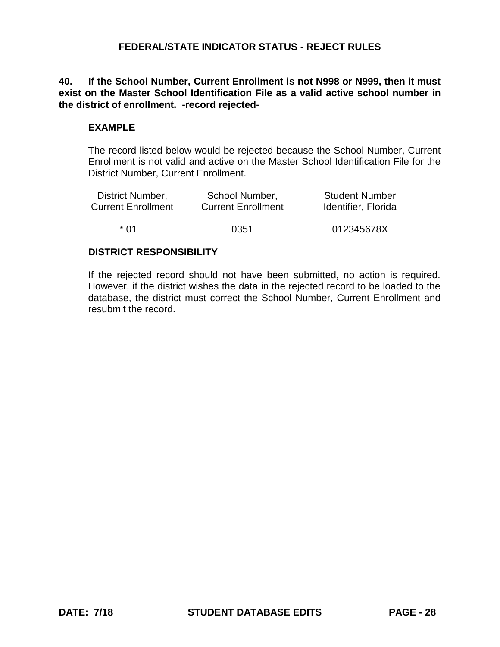**40. If the School Number, Current Enrollment is not N998 or N999, then it must exist on the Master School Identification File as a valid active school number in the district of enrollment. -record rejected-**

## **EXAMPLE**

The record listed below would be rejected because the School Number, Current Enrollment is not valid and active on the Master School Identification File for the District Number, Current Enrollment.

| District Number,          | School Number,            | <b>Student Number</b> |
|---------------------------|---------------------------|-----------------------|
| <b>Current Enrollment</b> | <b>Current Enrollment</b> | Identifier, Florida   |
| * በ1                      | 0351                      | 012345678X            |

### **DISTRICT RESPONSIBILITY**

If the rejected record should not have been submitted, no action is required. However, if the district wishes the data in the rejected record to be loaded to the database, the district must correct the School Number, Current Enrollment and resubmit the record.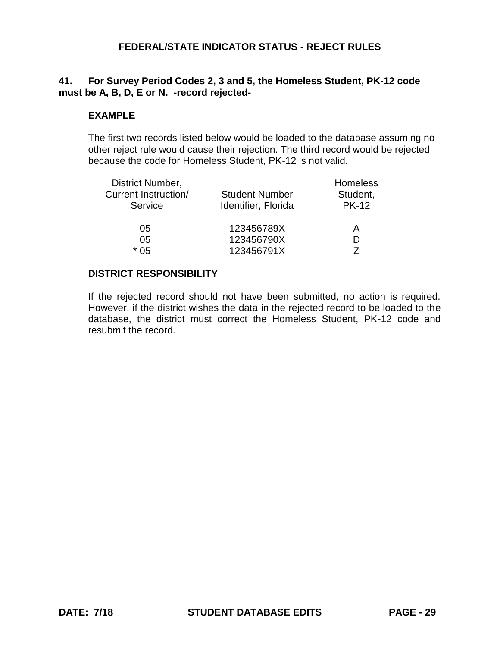## **41. For Survey Period Codes 2, 3 and 5, the Homeless Student, PK-12 code must be A, B, D, E or N. -record rejected-**

### **EXAMPLE**

The first two records listed below would be loaded to the database assuming no other reject rule would cause their rejection. The third record would be rejected because the code for Homeless Student, PK-12 is not valid.

| District Number,     |                       | Homeless     |
|----------------------|-----------------------|--------------|
| Current Instruction/ | <b>Student Number</b> | Student,     |
| Service              | Identifier, Florida   | <b>PK-12</b> |
| 05                   | 123456789X            | А            |
| 05                   | 123456790X            |              |
| * በ5                 | 123456791X            |              |

### **DISTRICT RESPONSIBILITY**

If the rejected record should not have been submitted, no action is required. However, if the district wishes the data in the rejected record to be loaded to the database, the district must correct the Homeless Student, PK-12 code and resubmit the record.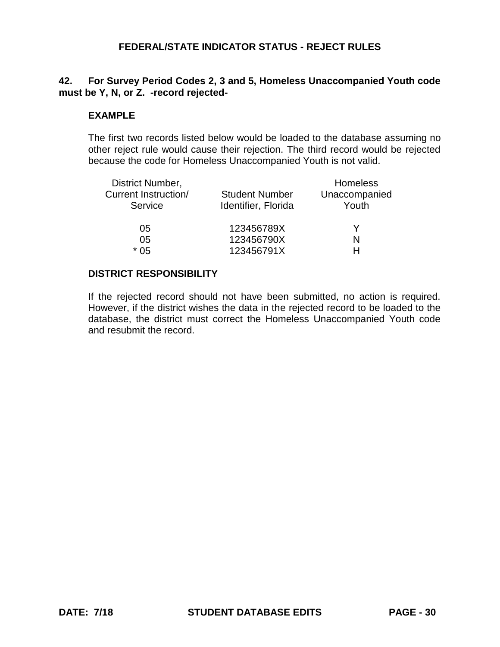# **42. For Survey Period Codes 2, 3 and 5, Homeless Unaccompanied Youth code must be Y, N, or Z. -record rejected-**

### **EXAMPLE**

The first two records listed below would be loaded to the database assuming no other reject rule would cause their rejection. The third record would be rejected because the code for Homeless Unaccompanied Youth is not valid.

| District Number,                |                                              | <b>Homeless</b>        |
|---------------------------------|----------------------------------------------|------------------------|
| Current Instruction/<br>Service | <b>Student Number</b><br>Identifier, Florida | Unaccompanied<br>Youth |
| 05                              | 123456789X                                   |                        |
| 05                              | 123456790X                                   | N                      |
| * በ5                            | 123456791X                                   |                        |

## **DISTRICT RESPONSIBILITY**

If the rejected record should not have been submitted, no action is required. However, if the district wishes the data in the rejected record to be loaded to the database, the district must correct the Homeless Unaccompanied Youth code and resubmit the record.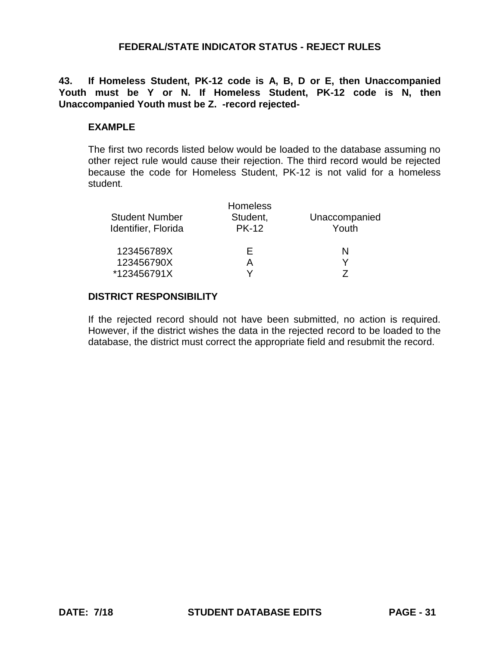**43. If Homeless Student, PK-12 code is A, B, D or E, then Unaccompanied Youth must be Y or N. If Homeless Student, PK-12 code is N, then Unaccompanied Youth must be Z. -record rejected-**

## **EXAMPLE**

The first two records listed below would be loaded to the database assuming no other reject rule would cause their rejection. The third record would be rejected because the code for Homeless Student, PK-12 is not valid for a homeless student.

| <b>Student Number</b><br>Identifier, Florida | <b>Homeless</b><br>Student,<br><b>PK-12</b> | Unaccompanied<br>Youth |
|----------------------------------------------|---------------------------------------------|------------------------|
| 123456789X                                   | ⊢                                           | N                      |
| 123456790X                                   | А                                           |                        |
| *123456791X                                  |                                             |                        |

## **DISTRICT RESPONSIBILITY**

If the rejected record should not have been submitted, no action is required. However, if the district wishes the data in the rejected record to be loaded to the database, the district must correct the appropriate field and resubmit the record.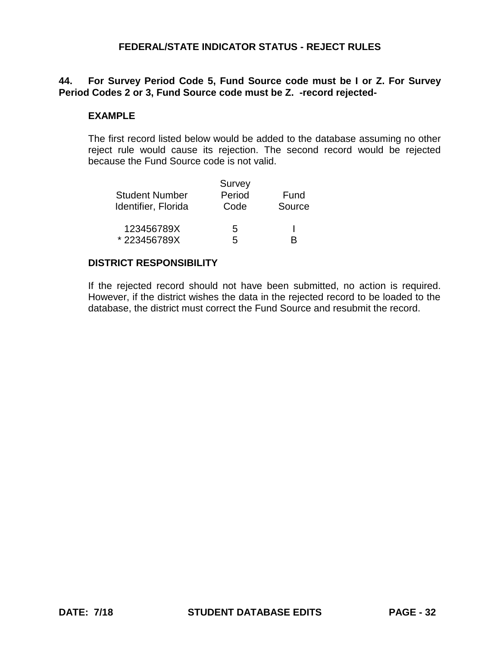## **44. For Survey Period Code 5, Fund Source code must be I or Z. For Survey Period Codes 2 or 3, Fund Source code must be Z. -record rejected-**

### **EXAMPLE**

The first record listed below would be added to the database assuming no other reject rule would cause its rejection. The second record would be rejected because the Fund Source code is not valid.

|                       | Survey |        |
|-----------------------|--------|--------|
| <b>Student Number</b> | Period | Fund   |
| Identifier, Florida   | Code   | Source |
| 123456789X            | 5      |        |
| *223456789X           | 5      | R      |

## **DISTRICT RESPONSIBILITY**

If the rejected record should not have been submitted, no action is required. However, if the district wishes the data in the rejected record to be loaded to the database, the district must correct the Fund Source and resubmit the record.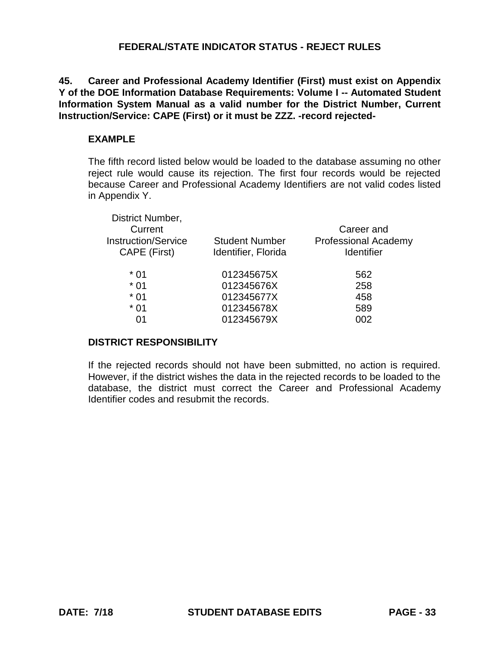**45. Career and Professional Academy Identifier (First) must exist on Appendix Y of the DOE Information Database Requirements: Volume I -- Automated Student Information System Manual as a valid number for the District Number, Current Instruction/Service: CAPE (First) or it must be ZZZ. -record rejected-**

## **EXAMPLE**

The fifth record listed below would be loaded to the database assuming no other reject rule would cause its rejection. The first four records would be rejected because Career and Professional Academy Identifiers are not valid codes listed in Appendix Y.

| District Number,           |                       |                             |
|----------------------------|-----------------------|-----------------------------|
| Current                    |                       | Career and                  |
| <b>Instruction/Service</b> | <b>Student Number</b> | <b>Professional Academy</b> |
| CAPE (First)               | Identifier, Florida   | <b>Identifier</b>           |
| $*01$                      | 012345675X            | 562                         |
| $*01$                      | 012345676X            | 258                         |
| $*01$                      | 012345677X            | 458                         |
| $*01$                      | 012345678X            | 589                         |
| 01                         | 012345679X            | 002                         |

## **DISTRICT RESPONSIBILITY**

If the rejected records should not have been submitted, no action is required. However, if the district wishes the data in the rejected records to be loaded to the database, the district must correct the Career and Professional Academy Identifier codes and resubmit the records.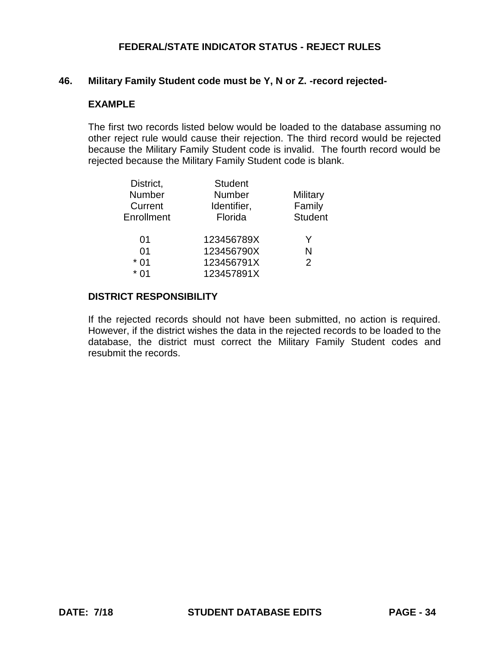#### **46. Military Family Student code must be Y, N or Z. -record rejected-**

#### **EXAMPLE**

The first two records listed below would be loaded to the database assuming no other reject rule would cause their rejection. The third record would be rejected because the Military Family Student code is invalid. The fourth record would be rejected because the Military Family Student code is blank.

| District,  | <b>Student</b> |                |
|------------|----------------|----------------|
| Number     | <b>Number</b>  | Military       |
| Current    | Identifier,    | Family         |
| Enrollment | Florida        | <b>Student</b> |
| 01         | 123456789X     | Y              |
| 01         | 123456790X     | N              |
| $*01$      | 123456791X     | 2              |
| * በ1       | 123457891X     |                |
|            |                |                |

## **DISTRICT RESPONSIBILITY**

If the rejected records should not have been submitted, no action is required. However, if the district wishes the data in the rejected records to be loaded to the database, the district must correct the Military Family Student codes and resubmit the records.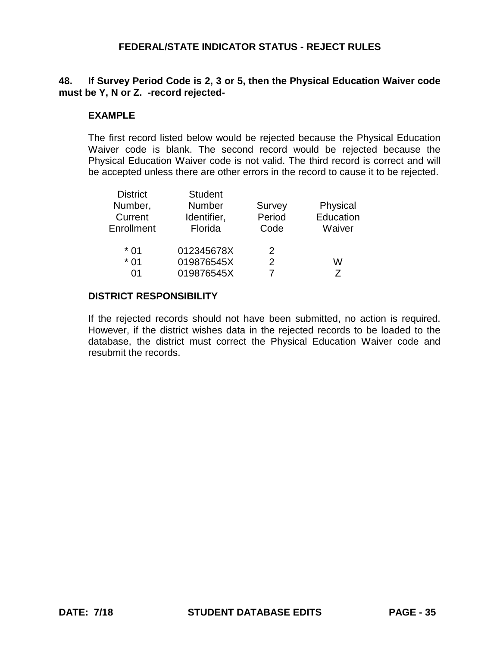## **48. If Survey Period Code is 2, 3 or 5, then the Physical Education Waiver code must be Y, N or Z. -record rejected-**

### **EXAMPLE**

The first record listed below would be rejected because the Physical Education Waiver code is blank. The second record would be rejected because the Physical Education Waiver code is not valid. The third record is correct and will be accepted unless there are other errors in the record to cause it to be rejected.

| <b>District</b> | <b>Student</b> |        |           |
|-----------------|----------------|--------|-----------|
| Number,         | <b>Number</b>  | Survey | Physical  |
| Current         | Identifier,    | Period | Education |
| Enrollment      | Florida        | Code   | Waiver    |
| $*01$           | 012345678X     | 2      |           |
| $*01$           | 019876545X     | 2      | w         |
| 01              | 019876545X     |        | 7         |

#### **DISTRICT RESPONSIBILITY**

If the rejected records should not have been submitted, no action is required. However, if the district wishes data in the rejected records to be loaded to the database, the district must correct the Physical Education Waiver code and resubmit the records.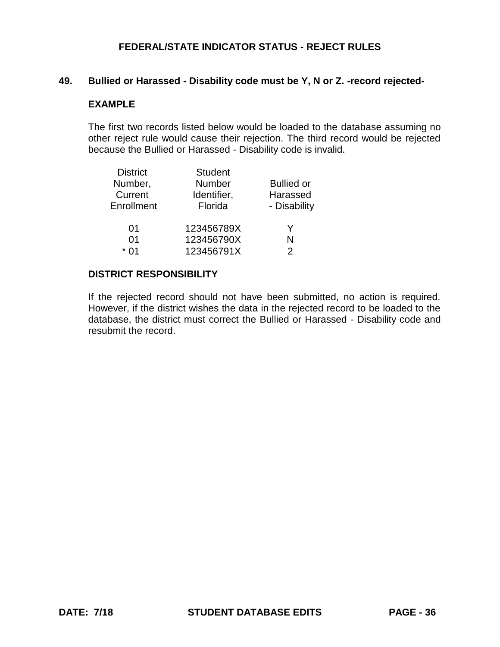### **49. Bullied or Harassed - Disability code must be Y, N or Z. -record rejected-**

#### **EXAMPLE**

The first two records listed below would be loaded to the database assuming no other reject rule would cause their rejection. The third record would be rejected because the Bullied or Harassed - Disability code is invalid.

| <b>District</b> | <b>Student</b> |                   |
|-----------------|----------------|-------------------|
| Number,         | Number         | <b>Bullied or</b> |
| Current         | Identifier,    | Harassed          |
| Enrollment      | Florida        | - Disability      |
| 01              | 123456789X     | Y                 |
| 01              | 123456790X     | N                 |
| * በ1            | 123456791X     | 2                 |

#### **DISTRICT RESPONSIBILITY**

If the rejected record should not have been submitted, no action is required. However, if the district wishes the data in the rejected record to be loaded to the database, the district must correct the Bullied or Harassed - Disability code and resubmit the record.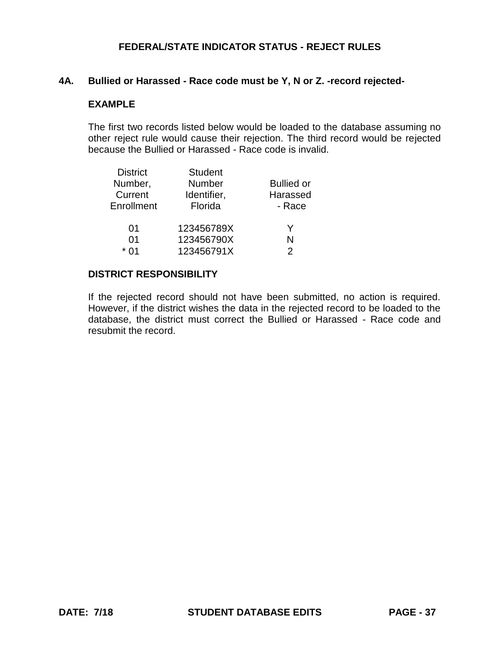### **4A. Bullied or Harassed - Race code must be Y, N or Z. -record rejected-**

#### **EXAMPLE**

The first two records listed below would be loaded to the database assuming no other reject rule would cause their rejection. The third record would be rejected because the Bullied or Harassed - Race code is invalid.

| <b>District</b> | <b>Student</b> |                   |
|-----------------|----------------|-------------------|
| Number,         | Number         | <b>Bullied or</b> |
| Current         | Identifier,    | Harassed          |
| Enrollment      | Florida        | - Race            |
| 01              | 123456789X     | Y                 |
| 01              | 123456790X     | N                 |
| * በ1            | 123456791X     |                   |

#### **DISTRICT RESPONSIBILITY**

If the rejected record should not have been submitted, no action is required. However, if the district wishes the data in the rejected record to be loaded to the database, the district must correct the Bullied or Harassed - Race code and resubmit the record.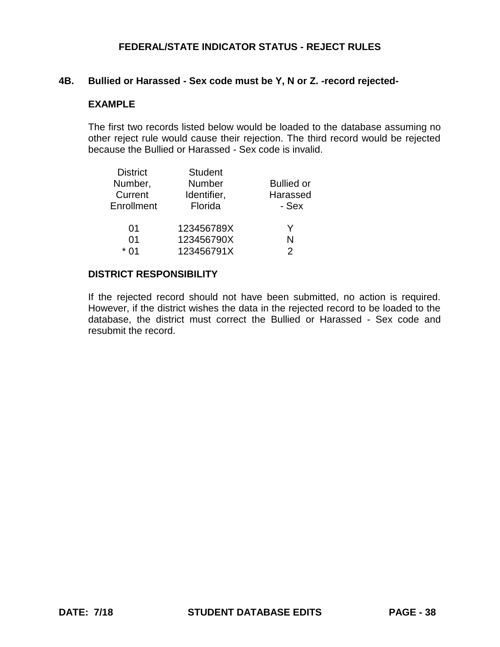### **4B. Bullied or Harassed - Sex code must be Y, N or Z. -record rejected-**

#### **EXAMPLE**

The first two records listed below would be loaded to the database assuming no other reject rule would cause their rejection. The third record would be rejected because the Bullied or Harassed - Sex code is invalid.

| <b>District</b> | <b>Student</b> |                   |
|-----------------|----------------|-------------------|
| Number,         | Number         | <b>Bullied or</b> |
| Current         | Identifier,    | Harassed          |
| Enrollment      | Florida        | - Sex             |
| 01              | 123456789X     | Y                 |
| 01              | 123456790X     | N                 |
| * በ1            | 123456791X     |                   |

#### **DISTRICT RESPONSIBILITY**

If the rejected record should not have been submitted, no action is required. However, if the district wishes the data in the rejected record to be loaded to the database, the district must correct the Bullied or Harassed - Sex code and resubmit the record.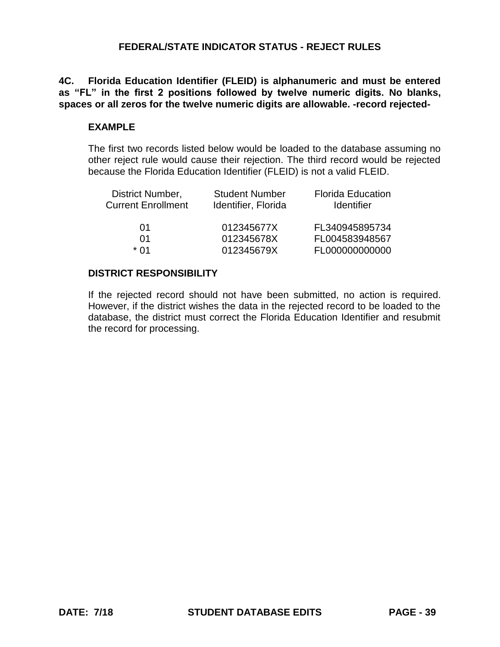**4C. Florida Education Identifier (FLEID) is alphanumeric and must be entered as "FL" in the first 2 positions followed by twelve numeric digits. No blanks, spaces or all zeros for the twelve numeric digits are allowable. -record rejected-**

### **EXAMPLE**

The first two records listed below would be loaded to the database assuming no other reject rule would cause their rejection. The third record would be rejected because the Florida Education Identifier (FLEID) is not a valid FLEID.

| District Number,          | <b>Student Number</b> | <b>Florida Education</b> |
|---------------------------|-----------------------|--------------------------|
| <b>Current Enrollment</b> | Identifier, Florida   | <b>Identifier</b>        |
| 01                        | 012345677X            | FL340945895734           |
| O1                        | 012345678X            | FL004583948567           |
| * በ1                      | 012345679X            | FL000000000000           |

### **DISTRICT RESPONSIBILITY**

If the rejected record should not have been submitted, no action is required. However, if the district wishes the data in the rejected record to be loaded to the database, the district must correct the Florida Education Identifier and resubmit the record for processing.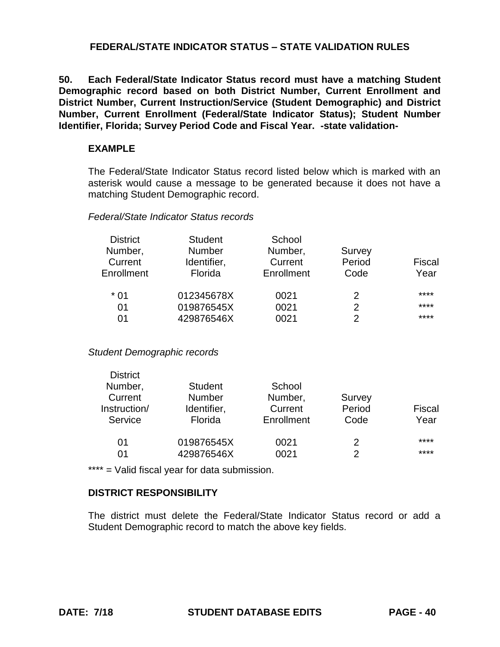**50. Each Federal/State Indicator Status record must have a matching Student Demographic record based on both District Number, Current Enrollment and District Number, Current Instruction/Service (Student Demographic) and District Number, Current Enrollment (Federal/State Indicator Status); Student Number Identifier, Florida; Survey Period Code and Fiscal Year. -state validation-**

### **EXAMPLE**

The Federal/State Indicator Status record listed below which is marked with an asterisk would cause a message to be generated because it does not have a matching Student Demographic record.

#### *Federal/State Indicator Status records*

| <b>District</b> | <b>Student</b> | School     |               |        |
|-----------------|----------------|------------|---------------|--------|
| Number,         | <b>Number</b>  | Number,    | Survey        |        |
| Current         | Identifier,    | Current    | Period        | Fiscal |
| Enrollment      | Florida        | Enrollment | Code          | Year   |
| $*01$           | 012345678X     | 0021       | 2             | ****   |
| 01              | 019876545X     | 0021       | 2             | ****   |
| 01              | 429876546X     | 0021       | $\mathcal{P}$ | ****   |

*Student Demographic records*

District

| LISUIGU      |                |            |        |        |
|--------------|----------------|------------|--------|--------|
| Number,      | <b>Student</b> | School     |        |        |
| Current      | <b>Number</b>  | Number,    | Survey |        |
| Instruction/ | Identifier,    | Current    | Period | Fiscal |
| Service      | Florida        | Enrollment | Code   | Year   |
| 01           | 019876545X     | 0021       | 2      | ****   |
| 01           | 429876546X     | 0021       | 2      | ****   |
|              |                |            |        |        |

\*\*\*\* = Valid fiscal year for data submission.

## **DISTRICT RESPONSIBILITY**

The district must delete the Federal/State Indicator Status record or add a Student Demographic record to match the above key fields.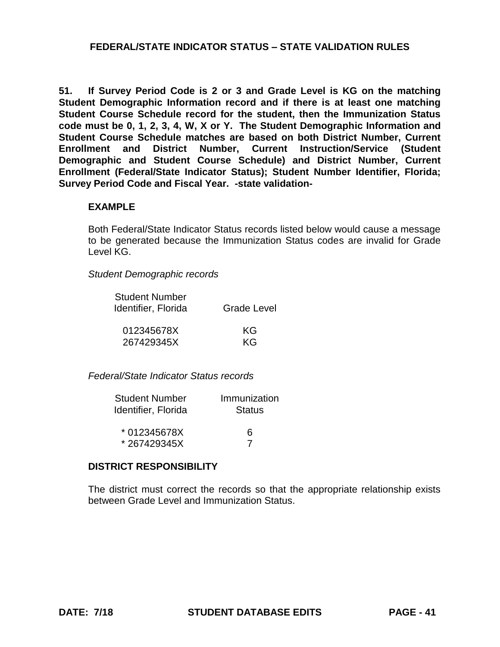**51. If Survey Period Code is 2 or 3 and Grade Level is KG on the matching Student Demographic Information record and if there is at least one matching Student Course Schedule record for the student, then the Immunization Status code must be 0, 1, 2, 3, 4, W, X or Y. The Student Demographic Information and Student Course Schedule matches are based on both District Number, Current Enrollment and District Number, Current Instruction/Service (Student Demographic and Student Course Schedule) and District Number, Current Enrollment (Federal/State Indicator Status); Student Number Identifier, Florida; Survey Period Code and Fiscal Year. -state validation-**

### **EXAMPLE**

Both Federal/State Indicator Status records listed below would cause a message to be generated because the Immunization Status codes are invalid for Grade Level KG.

*Student Demographic records*

| <b>Student Number</b> |                    |
|-----------------------|--------------------|
| Identifier, Florida   | <b>Grade Level</b> |
| 0.40015070V           | $\sim$             |

| 012345678X | KG. |
|------------|-----|
| 267429345X | KG. |

*Federal/State Indicator Status records*

| <b>Student Number</b> | Immunization  |
|-----------------------|---------------|
| Identifier, Florida   | <b>Status</b> |
|                       |               |
| * 012345678X          | ิค            |
| *267429345X           |               |

## **DISTRICT RESPONSIBILITY**

The district must correct the records so that the appropriate relationship exists between Grade Level and Immunization Status.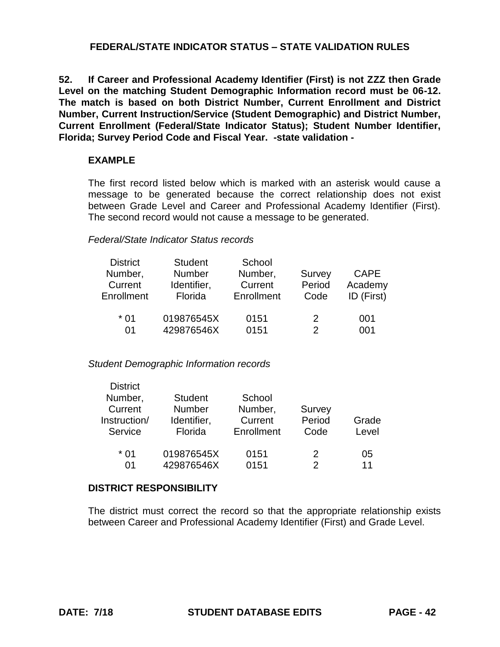**52. If Career and Professional Academy Identifier (First) is not ZZZ then Grade Level on the matching Student Demographic Information record must be 06-12. The match is based on both District Number, Current Enrollment and District Number, Current Instruction/Service (Student Demographic) and District Number, Current Enrollment (Federal/State Indicator Status); Student Number Identifier, Florida; Survey Period Code and Fiscal Year. -state validation -**

## **EXAMPLE**

The first record listed below which is marked with an asterisk would cause a message to be generated because the correct relationship does not exist between Grade Level and Career and Professional Academy Identifier (First). The second record would not cause a message to be generated.

### *Federal/State Indicator Status records*

| <b>District</b> | <b>Student</b> | School     |        |             |
|-----------------|----------------|------------|--------|-------------|
| Number,         | Number         | Number,    | Survey | <b>CAPE</b> |
| Current         | Identifier,    | Current    | Period | Academy     |
| Enrollment      | Florida        | Enrollment | Code   | ID (First)  |
|                 |                |            |        |             |
| $*01$           | 019876545X     | 0151       | 2      | 001         |
| 01              | 429876546X     | 0151       | 2      | 001         |

#### *Student Demographic Information records*

| <b>District</b> |                |            |        |       |
|-----------------|----------------|------------|--------|-------|
| Number,         | <b>Student</b> | School     |        |       |
| Current         | Number         | Number,    | Survey |       |
| Instruction/    | Identifier,    | Current    | Period | Grade |
| Service         | Florida        | Enrollment | Code   | Level |
| $*01$           | 019876545X     |            | 2      |       |
|                 |                | 0151       |        | 05    |
| 01              | 429876546X     | 0151       |        | 11    |

#### **DISTRICT RESPONSIBILITY**

The district must correct the record so that the appropriate relationship exists between Career and Professional Academy Identifier (First) and Grade Level.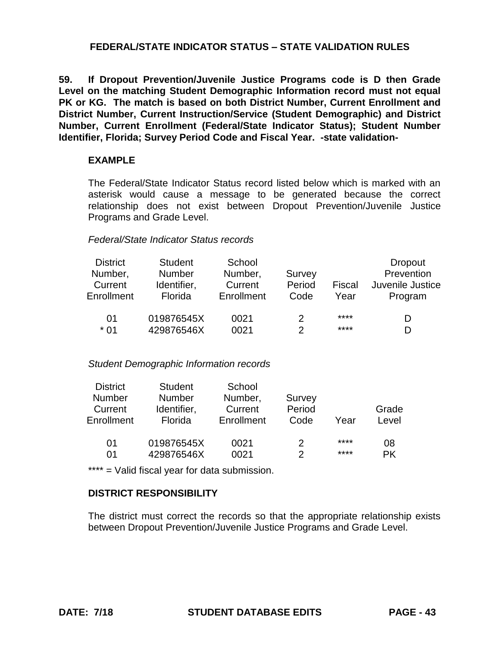**59. If Dropout Prevention/Juvenile Justice Programs code is D then Grade Level on the matching Student Demographic Information record must not equal PK or KG. The match is based on both District Number, Current Enrollment and District Number, Current Instruction/Service (Student Demographic) and District Number, Current Enrollment (Federal/State Indicator Status); Student Number Identifier, Florida; Survey Period Code and Fiscal Year. -state validation-**

### **EXAMPLE**

The Federal/State Indicator Status record listed below which is marked with an asterisk would cause a message to be generated because the correct relationship does not exist between Dropout Prevention/Juvenile Justice Programs and Grade Level.

### *Federal/State Indicator Status records*

| <b>District</b><br>Number,<br>Current<br>Enrollment | <b>Student</b><br><b>Number</b><br>Identifier,<br>Florida | School<br>Number,<br>Current<br>Enrollment | Survey<br>Period<br>Code | Fiscal<br>Year | <b>Dropout</b><br>Prevention<br>Juvenile Justice<br>Program |
|-----------------------------------------------------|-----------------------------------------------------------|--------------------------------------------|--------------------------|----------------|-------------------------------------------------------------|
| 01                                                  | 019876545X                                                | 0021                                       | 2                        | ****           | D                                                           |
| $*01$                                               | 429876546X                                                | 0021                                       |                          | ****           | D                                                           |

#### *Student Demographic Information records*

| <b>District</b> | <b>Student</b> | School     |        |      |       |
|-----------------|----------------|------------|--------|------|-------|
| <b>Number</b>   | <b>Number</b>  | Number,    | Survey |      |       |
| Current         | Identifier,    | Current    | Period |      | Grade |
| Enrollment      | Florida        | Enrollment | Code   | Year | Level |
| 01              | 019876545X     | 0021       | 2      | **** | 08    |
| 01              | 429876546X     | 0021       | っ      | **** | РK    |

\*\*\*\* = Valid fiscal year for data submission.

## **DISTRICT RESPONSIBILITY**

The district must correct the records so that the appropriate relationship exists between Dropout Prevention/Juvenile Justice Programs and Grade Level.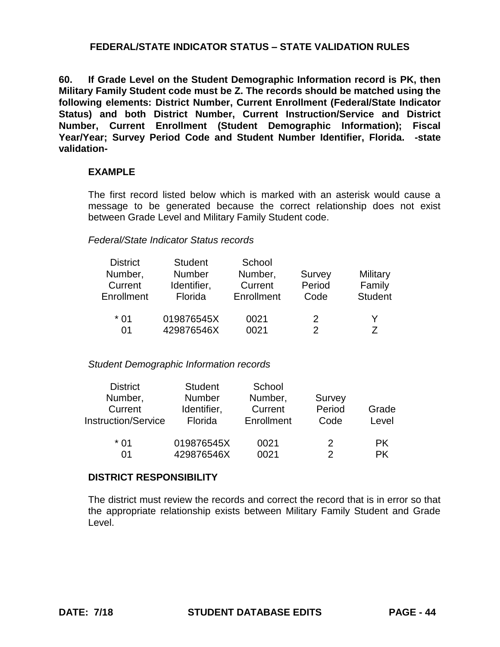**60. If Grade Level on the Student Demographic Information record is PK, then Military Family Student code must be Z. The records should be matched using the following elements: District Number, Current Enrollment (Federal/State Indicator Status) and both District Number, Current Instruction/Service and District Number, Current Enrollment (Student Demographic Information); Fiscal Year/Year; Survey Period Code and Student Number Identifier, Florida. -state validation-**

### **EXAMPLE**

The first record listed below which is marked with an asterisk would cause a message to be generated because the correct relationship does not exist between Grade Level and Military Family Student code.

#### *Federal/State Indicator Status records*

| <b>District</b> | <b>Student</b> | School     |        |                |
|-----------------|----------------|------------|--------|----------------|
| Number,         | <b>Number</b>  | Number,    | Survey | Military       |
| Current         | Identifier,    | Current    | Period | Family         |
| Enrollment      | Florida        | Enrollment | Code   | <b>Student</b> |
| * 01            | 019876545X     | 0021       | 2      | Y              |
| 01              | 429876546X     | 0021       | 2      | 7              |

#### *Student Demographic Information records*

| <b>District</b>            | <b>Student</b> | School     |        |       |
|----------------------------|----------------|------------|--------|-------|
| Number,                    | <b>Number</b>  | Number,    | Survey |       |
| Current                    | Identifier,    | Current    | Period | Grade |
| <b>Instruction/Service</b> | Florida        | Enrollment | Code   | Level |
|                            |                |            |        |       |
| * በ1                       | 019876545X     | 0021       | 2      | PK.   |
| ሰ1                         | 429876546X     | 0021       | 2      | PK.   |

#### **DISTRICT RESPONSIBILITY**

The district must review the records and correct the record that is in error so that the appropriate relationship exists between Military Family Student and Grade Level.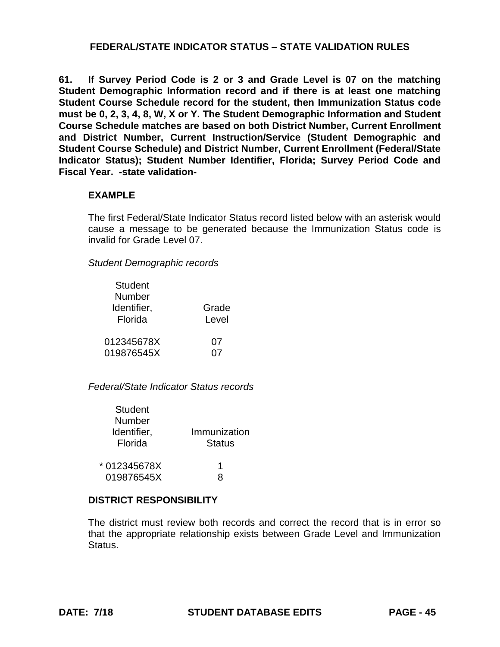**61. If Survey Period Code is 2 or 3 and Grade Level is 07 on the matching Student Demographic Information record and if there is at least one matching Student Course Schedule record for the student, then Immunization Status code must be 0, 2, 3, 4, 8, W, X or Y. The Student Demographic Information and Student Course Schedule matches are based on both District Number, Current Enrollment and District Number, Current Instruction/Service (Student Demographic and Student Course Schedule) and District Number, Current Enrollment (Federal/State Indicator Status); Student Number Identifier, Florida; Survey Period Code and Fiscal Year. -state validation-**

### **EXAMPLE**

The first Federal/State Indicator Status record listed below with an asterisk would cause a message to be generated because the Immunization Status code is invalid for Grade Level 07.

*Student Demographic records*

| <b>Student</b><br>Number |       |
|--------------------------|-------|
| Identifier,              | Grade |
| Florida                  | Level |
| 012345678X               | 07    |
| 019876545X               | ሰ7    |

*Federal/State Indicator Status records*

| Student      |               |
|--------------|---------------|
| Number       |               |
| Identifier,  | Immunization  |
| Florida      | <b>Status</b> |
|              |               |
| * 012345678X | 1             |
| 019876545X   | R             |

## **DISTRICT RESPONSIBILITY**

The district must review both records and correct the record that is in error so that the appropriate relationship exists between Grade Level and Immunization Status.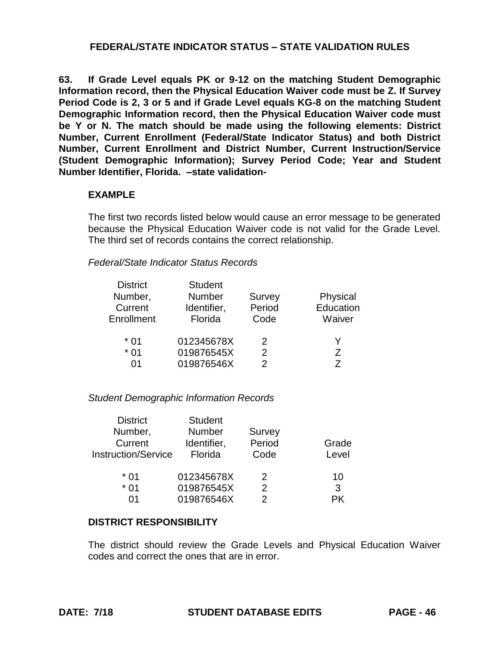**63. If Grade Level equals PK or 9-12 on the matching Student Demographic Information record, then the Physical Education Waiver code must be Z. If Survey Period Code is 2, 3 or 5 and if Grade Level equals KG-8 on the matching Student Demographic Information record, then the Physical Education Waiver code must be Y or N. The match should be made using the following elements: District Number, Current Enrollment (Federal/State Indicator Status) and both District Number, Current Enrollment and District Number, Current Instruction/Service (Student Demographic Information); Survey Period Code; Year and Student Number Identifier, Florida. –state validation-**

### **EXAMPLE**

The first two records listed below would cause an error message to be generated because the Physical Education Waiver code is not valid for the Grade Level. The third set of records contains the correct relationship.

### *Federal/State Indicator Status Records*

| <b>District</b> | <b>Student</b> |               |           |
|-----------------|----------------|---------------|-----------|
| Number,         | Number         | Survey        | Physical  |
| Current         | Identifier,    | Period        | Education |
| Enrollment      | Florida        | Code          | Waiver    |
|                 |                |               |           |
| $*01$           | 012345678X     | 2             | Y         |
| $*01$           | 019876545X     | $\mathcal{P}$ | Z         |
| ሰ1              | 019876546X     | 2             | 7         |

#### *Student Demographic Information Records*

| <b>District</b>            | <b>Student</b> |               |       |
|----------------------------|----------------|---------------|-------|
| Number,                    | <b>Number</b>  | Survey        |       |
| Current                    | Identifier,    | Period        | Grade |
| <b>Instruction/Service</b> | Florida        | Code          | Level |
|                            |                |               |       |
| * 01                       | 012345678X     | 2             | 10    |
| $*01$                      | 019876545X     | $\mathcal{P}$ | 3     |
| ሰ1                         | 019876546X     | 2             |       |

#### **DISTRICT RESPONSIBILITY**

The district should review the Grade Levels and Physical Education Waiver codes and correct the ones that are in error.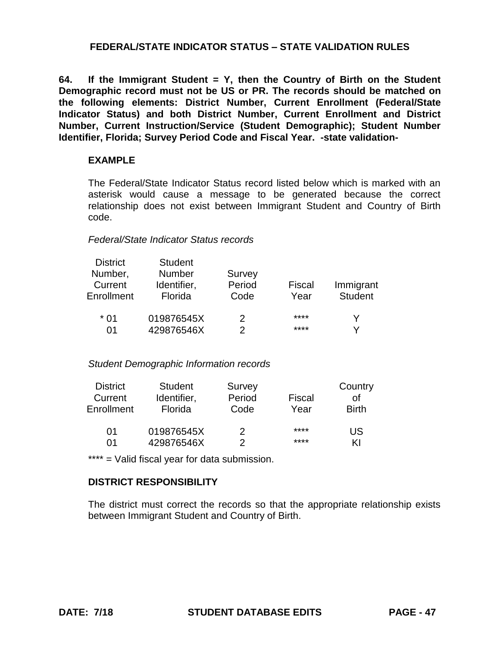**64. If the Immigrant Student = Y, then the Country of Birth on the Student Demographic record must not be US or PR. The records should be matched on the following elements: District Number, Current Enrollment (Federal/State Indicator Status) and both District Number, Current Enrollment and District Number, Current Instruction/Service (Student Demographic); Student Number Identifier, Florida; Survey Period Code and Fiscal Year. -state validation-**

### **EXAMPLE**

The Federal/State Indicator Status record listed below which is marked with an asterisk would cause a message to be generated because the correct relationship does not exist between Immigrant Student and Country of Birth code.

#### *Federal/State Indicator Status records*

| <b>District</b><br>Number,<br>Current<br>Enrollment | <b>Student</b><br><b>Number</b><br>Identifier,<br>Florida | Survey<br>Period<br>Code | Fiscal<br>Year | Immigrant<br><b>Student</b> |
|-----------------------------------------------------|-----------------------------------------------------------|--------------------------|----------------|-----------------------------|
| $*01$                                               | 019876545X                                                | 2                        | ****           |                             |
| 01                                                  | 429876546X                                                | 2                        | ****           |                             |

#### *Student Demographic Information records*

| <b>District</b> | <b>Student</b> | Survey |        | Country      |
|-----------------|----------------|--------|--------|--------------|
| Current         | Identifier,    | Period | Fiscal | οf           |
| Enrollment      | Florida        | Code   | Year   | <b>Birth</b> |
| 01              | 019876545X     | 2      | ****   | US           |
| 01              | 429876546X     | 2      | ****   | ΚI           |

\*\*\*\* = Valid fiscal year for data submission.

#### **DISTRICT RESPONSIBILITY**

The district must correct the records so that the appropriate relationship exists between Immigrant Student and Country of Birth.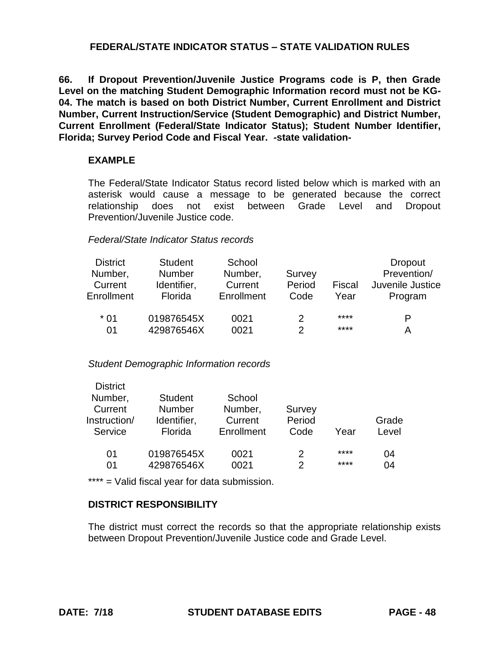**66. If Dropout Prevention/Juvenile Justice Programs code is P, then Grade Level on the matching Student Demographic Information record must not be KG-04. The match is based on both District Number, Current Enrollment and District Number, Current Instruction/Service (Student Demographic) and District Number, Current Enrollment (Federal/State Indicator Status); Student Number Identifier, Florida; Survey Period Code and Fiscal Year. -state validation-**

### **EXAMPLE**

The Federal/State Indicator Status record listed below which is marked with an asterisk would cause a message to be generated because the correct relationship does not exist between Grade Level and Dropout Prevention/Juvenile Justice code.

#### *Federal/State Indicator Status records*

| <b>District</b><br>Number,<br>Current<br>Enrollment | <b>Student</b><br><b>Number</b><br>Identifier,<br>Florida | School<br>Number,<br>Current<br>Enrollment | Survey<br>Period<br>Code | Fiscal<br>Year | <b>Dropout</b><br>Prevention/<br>Juvenile Justice<br>Program |
|-----------------------------------------------------|-----------------------------------------------------------|--------------------------------------------|--------------------------|----------------|--------------------------------------------------------------|
| $*01$                                               | 019876545X                                                | 0021                                       | 2                        | ****           | P                                                            |
| 01                                                  | 429876546X                                                | 0021                                       |                          | ****           | A                                                            |

#### *Student Demographic Information records*

| <b>District</b> |                |            |        |      |       |
|-----------------|----------------|------------|--------|------|-------|
| Number,         | <b>Student</b> | School     |        |      |       |
| Current         | <b>Number</b>  | Number,    | Survey |      |       |
| Instruction/    | Identifier,    | Current    | Period |      | Grade |
| Service         | Florida        | Enrollment | Code   | Year | Level |
|                 |                |            |        |      |       |
| 01              | 019876545X     | 0021       | 2      | **** | 04    |
| 01              | 429876546X     | 0021       | っ      | **** | 04    |
|                 |                |            |        |      |       |

\*\*\*\* = Valid fiscal year for data submission.

## **DISTRICT RESPONSIBILITY**

The district must correct the records so that the appropriate relationship exists between Dropout Prevention/Juvenile Justice code and Grade Level.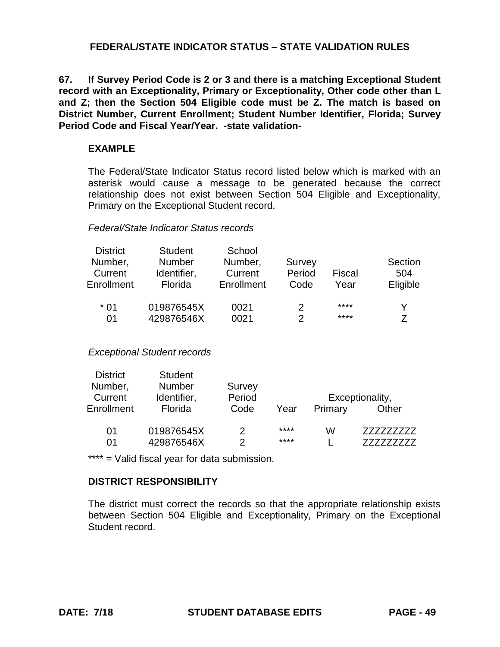**67. If Survey Period Code is 2 or 3 and there is a matching Exceptional Student record with an Exceptionality, Primary or Exceptionality, Other code other than L and Z; then the Section 504 Eligible code must be Z. The match is based on District Number, Current Enrollment; Student Number Identifier, Florida; Survey Period Code and Fiscal Year/Year. -state validation-**

### **EXAMPLE**

The Federal/State Indicator Status record listed below which is marked with an asterisk would cause a message to be generated because the correct relationship does not exist between Section 504 Eligible and Exceptionality, Primary on the Exceptional Student record.

#### *Federal/State Indicator Status records*

| <b>District</b><br>Number,<br>Current<br>Enrollment | <b>Student</b><br><b>Number</b><br>Identifier,<br>Florida | School<br>Number,<br>Current<br>Enrollment | Survey<br>Period<br>Code | Fiscal<br>Year | Section<br>504<br>Eligible |
|-----------------------------------------------------|-----------------------------------------------------------|--------------------------------------------|--------------------------|----------------|----------------------------|
| $*01$                                               | 019876545X                                                | 0021                                       | 2                        | ****           |                            |
| 01                                                  | 429876546X                                                | 0021                                       | 2                        | ****           |                            |

#### *Exceptional Student records*

| <b>District</b> | <b>Student</b> |        |      |         |                 |
|-----------------|----------------|--------|------|---------|-----------------|
| Number,         | <b>Number</b>  | Survey |      |         |                 |
| Current         | Identifier,    | Period |      |         | Exceptionality, |
| Enrollment      | Florida        | Code   | Year | Primary | Other           |
| 01              | 019876545X     |        | **** | w       |                 |
| 01              | 429876546X     |        | **** |         |                 |

\*\*\*\* = Valid fiscal year for data submission.

## **DISTRICT RESPONSIBILITY**

The district must correct the records so that the appropriate relationship exists between Section 504 Eligible and Exceptionality, Primary on the Exceptional Student record.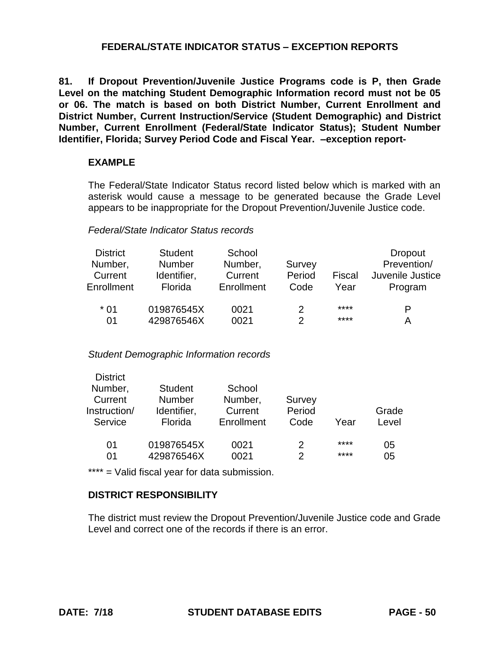# **FEDERAL/STATE INDICATOR STATUS – EXCEPTION REPORTS**

**81. If Dropout Prevention/Juvenile Justice Programs code is P, then Grade Level on the matching Student Demographic Information record must not be 05 or 06. The match is based on both District Number, Current Enrollment and District Number, Current Instruction/Service (Student Demographic) and District Number, Current Enrollment (Federal/State Indicator Status); Student Number Identifier, Florida; Survey Period Code and Fiscal Year. –exception report-**

### **EXAMPLE**

The Federal/State Indicator Status record listed below which is marked with an asterisk would cause a message to be generated because the Grade Level appears to be inappropriate for the Dropout Prevention/Juvenile Justice code.

## *Federal/State Indicator Status records*

| <b>District</b> | <b>Student</b> | School     |        |        | <b>Dropout</b>   |
|-----------------|----------------|------------|--------|--------|------------------|
| Number,         | <b>Number</b>  | Number,    | Survey |        | Prevention/      |
| Current         | Identifier,    | Current    | Period | Fiscal | Juvenile Justice |
| Enrollment      | Florida        | Enrollment | Code   | Year   | Program          |
| $*01$           | 019876545X     | 0021       |        | ****   | P                |
| 01              | 429876546X     | 0021       | 2      | ****   | А                |

#### *Student Demographic Information records*

| <b>District</b><br>Number,<br>Current | <b>Student</b><br><b>Number</b> | School<br>Number, | Survey |      |       |
|---------------------------------------|---------------------------------|-------------------|--------|------|-------|
| Instruction/                          | Identifier,                     | Current           | Period |      | Grade |
| Service                               | Florida                         | Enrollment        | Code   | Year | Level |
| 01                                    | 019876545X                      | 0021              | 2      | **** | 05    |
| 01                                    | 429876546X                      | 0021              | 2      | **** | 05    |

\*\*\*\* = Valid fiscal year for data submission.

## **DISTRICT RESPONSIBILITY**

The district must review the Dropout Prevention/Juvenile Justice code and Grade Level and correct one of the records if there is an error.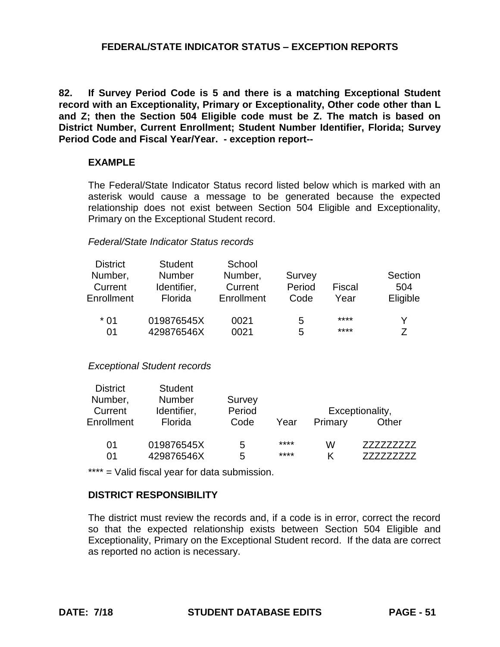## **FEDERAL/STATE INDICATOR STATUS – EXCEPTION REPORTS**

**82. If Survey Period Code is 5 and there is a matching Exceptional Student record with an Exceptionality, Primary or Exceptionality, Other code other than L and Z; then the Section 504 Eligible code must be Z. The match is based on District Number, Current Enrollment; Student Number Identifier, Florida; Survey Period Code and Fiscal Year/Year. - exception report--**

#### **EXAMPLE**

The Federal/State Indicator Status record listed below which is marked with an asterisk would cause a message to be generated because the expected relationship does not exist between Section 504 Eligible and Exceptionality, Primary on the Exceptional Student record.

#### *Federal/State Indicator Status records*

| <b>District</b><br>Number,<br>Current<br>Enrollment | <b>Student</b><br><b>Number</b><br>Identifier,<br>Florida | School<br>Number,<br>Current<br>Enrollment | Survey<br>Period<br>Code | Fiscal<br>Year | Section<br>504<br>Eligible |
|-----------------------------------------------------|-----------------------------------------------------------|--------------------------------------------|--------------------------|----------------|----------------------------|
| $*01$                                               | 019876545X                                                | 0021                                       | 5                        | ****           |                            |
| 01                                                  | 429876546X                                                | 0021                                       | 5                        | ****           |                            |

#### *Exceptional Student records*

| <b>District</b><br>Number, | <b>Student</b><br><b>Number</b> | Survey<br>Period |      |         |                          |
|----------------------------|---------------------------------|------------------|------|---------|--------------------------|
| Current<br>Enrollment      | Identifier,<br>Florida          | Code             | Year | Primary | Exceptionality,<br>Other |
| 01                         | 019876545X                      | 5                | **** | w       |                          |
| 01                         | 429876546X                      | 5                | **** | K       |                          |

\*\*\*\* = Valid fiscal year for data submission.

#### **DISTRICT RESPONSIBILITY**

The district must review the records and, if a code is in error, correct the record so that the expected relationship exists between Section 504 Eligible and Exceptionality, Primary on the Exceptional Student record. If the data are correct as reported no action is necessary.